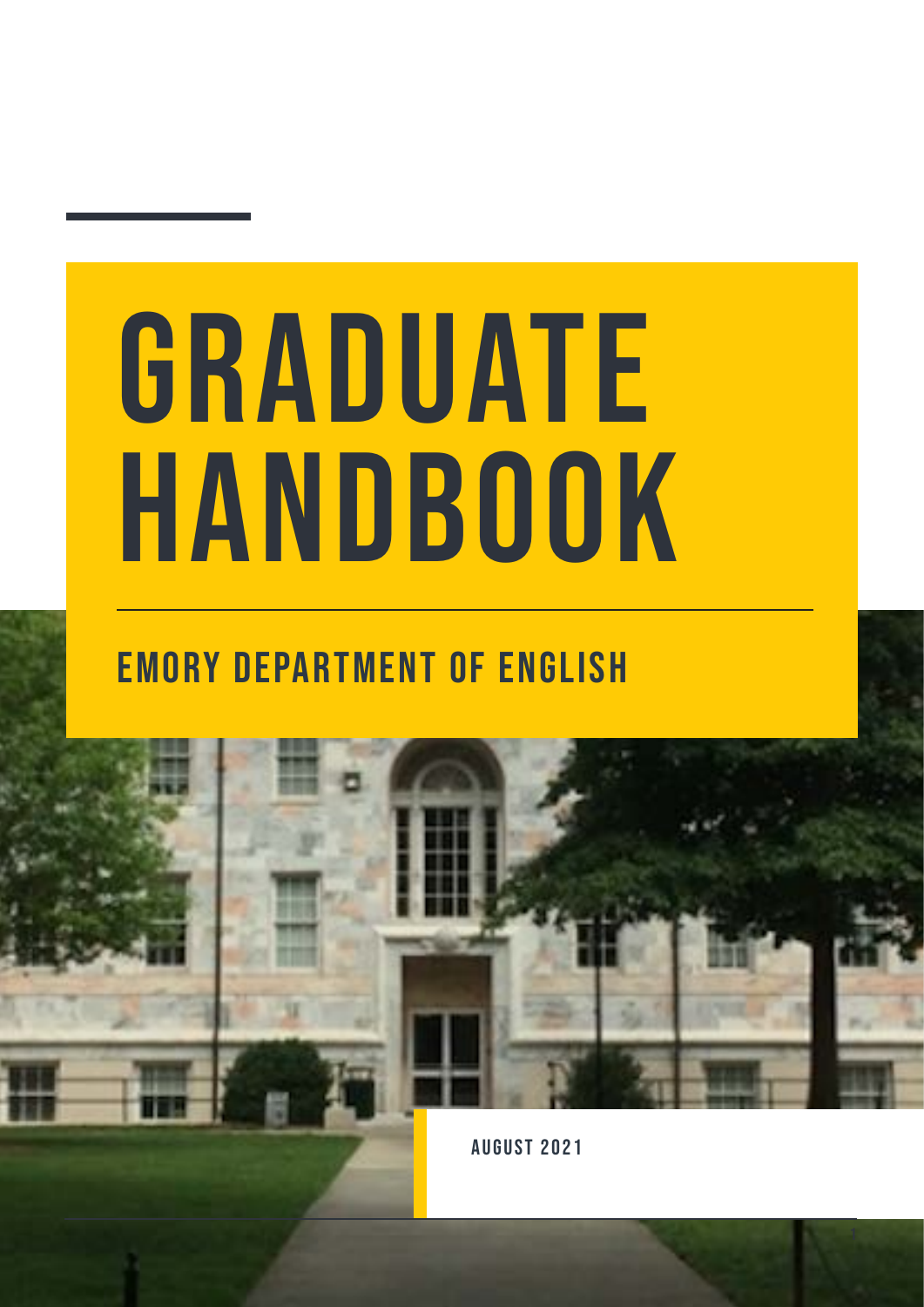# GRADUATE HANDBOOK

### Emory Department of English



August 2021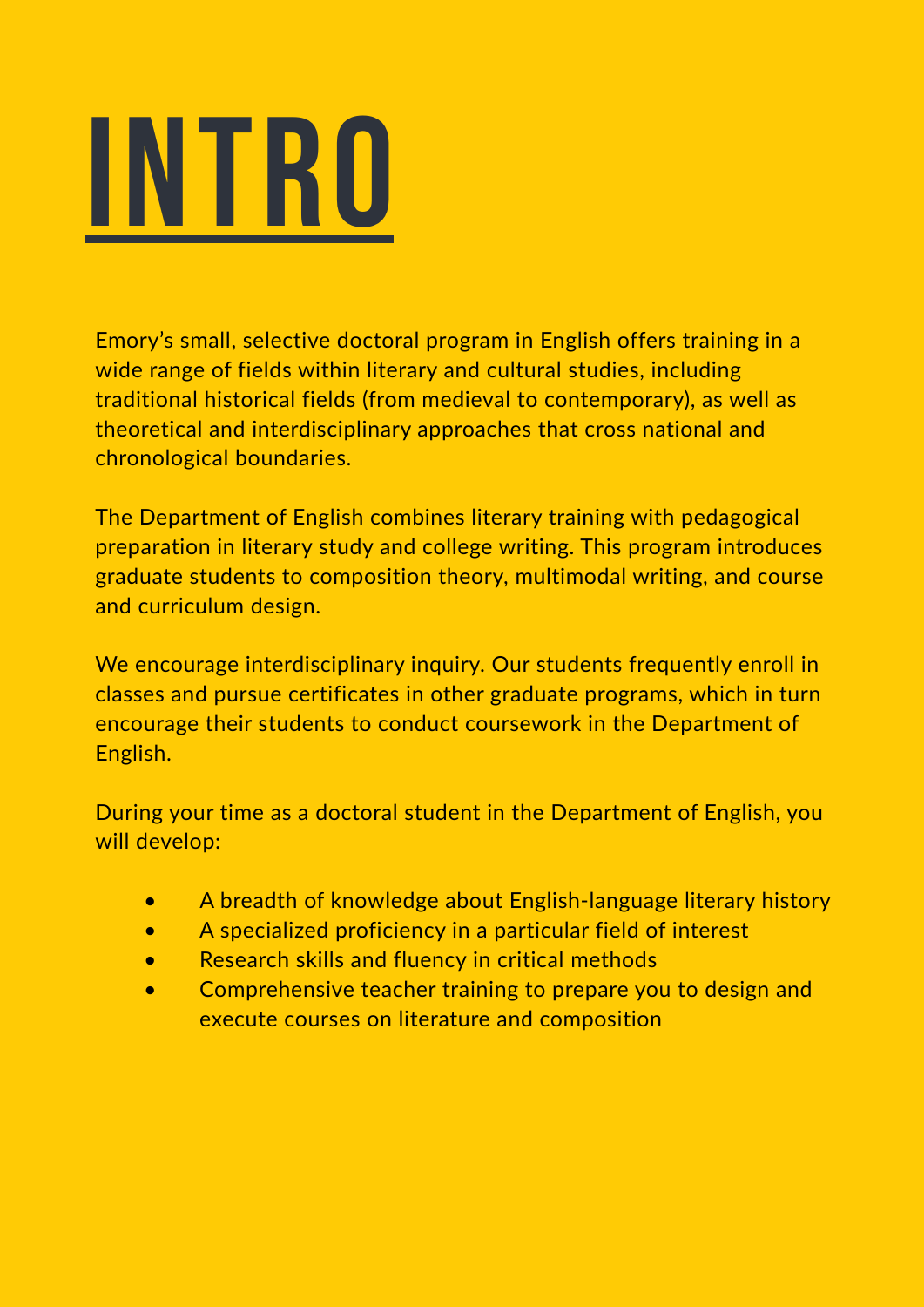

Emory's small, selective doctoral program in English offers training in a wide range of fields within literary and cultural studies, including traditional historical fields (from medieval to contemporary), as well as theoretical and interdisciplinary approaches that cross national and chronological boundaries.

The Department of English combines literary training with pedagogical preparation in literary study and college writing. This program introduces graduate students to composition theory, multimodal writing, and course and curriculum design.

We encourage interdisciplinary inquiry. Our students frequently enroll in classes and pursue certificates in other graduate programs, which in turn encourage their students to conduct coursework in the Department of English.

During your time as a doctoral student in the Department of English, you will develop:

- A breadth of knowledge about English-language literary history
- A specialized proficiency in a particular field of interest
- Research skills and fluency in critical methods
- Comprehensive teacher training to prepare you to design and execute courses on literature and composition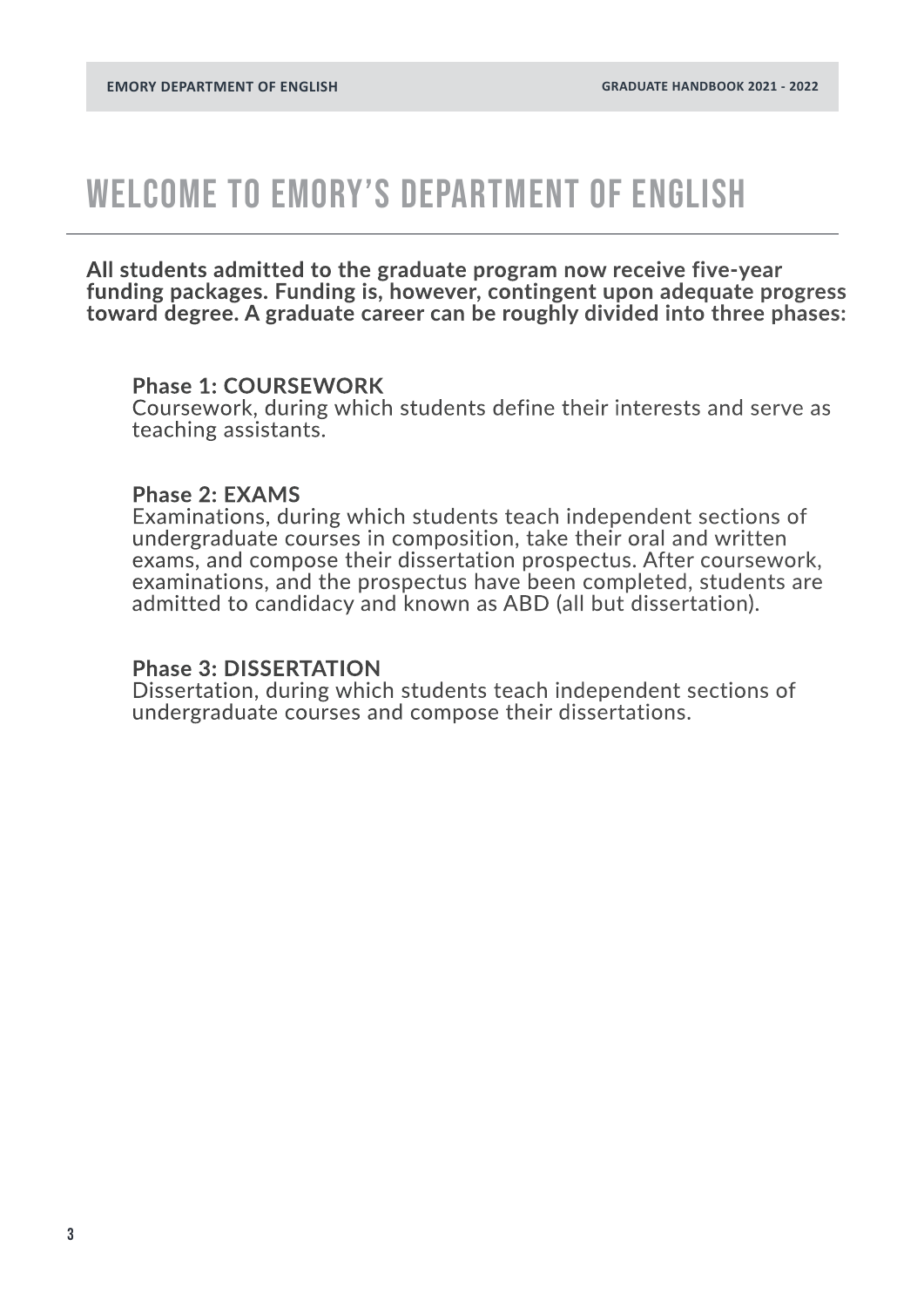### WELCOME TO EMORY'S DEPARTMENT OF ENGLISH

**All students admitted to the graduate program now receive five-year funding packages. Funding is, however, contingent upon adequate progress toward degree. A graduate career can be roughly divided into three phases:**

#### **Phase 1: COURSEWORK**

Coursework, during which students define their interests and serve as teaching assistants.

#### **Phase 2: EXAMS**

Examinations, during which students teach independent sections of undergraduate courses in composition, take their oral and written exams, and compose their dissertation prospectus. After coursework, examinations, and the prospectus have been completed, students are admitted to candidacy and known as ABD (all but dissertation).

#### **Phase 3: DISSERTATION**

Dissertation, during which students teach independent sections of undergraduate courses and compose their dissertations.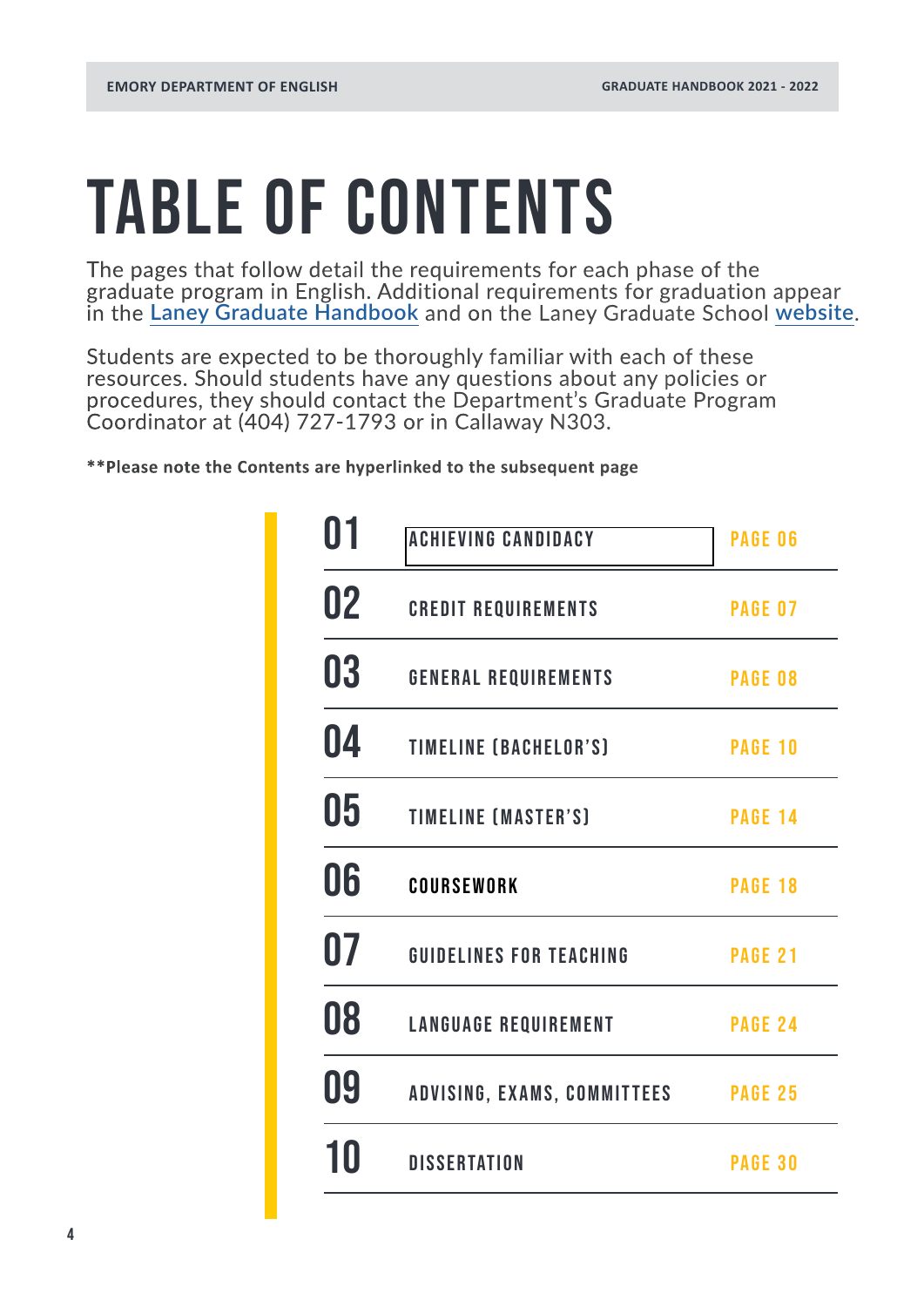## TABLE OF CONTENTS

The pages that follow detail the requirements for each phase of the graduate program in English. Additional requirements for graduation appear in the **[Laney Graduate Handbook](https://gs.emory.edu/handbook/)** and on the Laney Graduate School **[website](https://gs.emory.edu/)**.

Students are expected to be thoroughly familiar with each of these resources. Should students have any questions about any policies or procedures, they should contact the Department's Graduate Program Coordinator at (404) 727-1793 or in Callaway N303.

**\*\*Please note the Contents are hyperlinked to the subsequent page**

| 01 | <b>ACHIEVING CANDIDACY</b>         | <b>PAGE 06</b> |
|----|------------------------------------|----------------|
| 02 | <b>CREDIT REQUIREMENTS</b>         | <b>PAGE 07</b> |
| 03 | <b>GENERAL REQUIREMENTS</b>        | <b>PAGE 08</b> |
| 04 | <b>TIMELINE (BACHELOR'S)</b>       | <b>PAGE 10</b> |
| 05 | <b>TIMELINE (MASTER'S)</b>         | <b>PAGE 14</b> |
| 06 | COURSEWORK                         | <b>PAGE 18</b> |
| 07 | <b>GUIDELINES FOR TEACHING</b>     | <b>PAGE 21</b> |
| 08 | <b>LANGUAGE REQUIREMENT</b>        | <b>PAGE 24</b> |
| 09 | <b>ADVISING, EXAMS, COMMITTEES</b> | <b>PAGE 25</b> |
| 10 | <b>DISSERTATION</b>                | <b>PAGE 30</b> |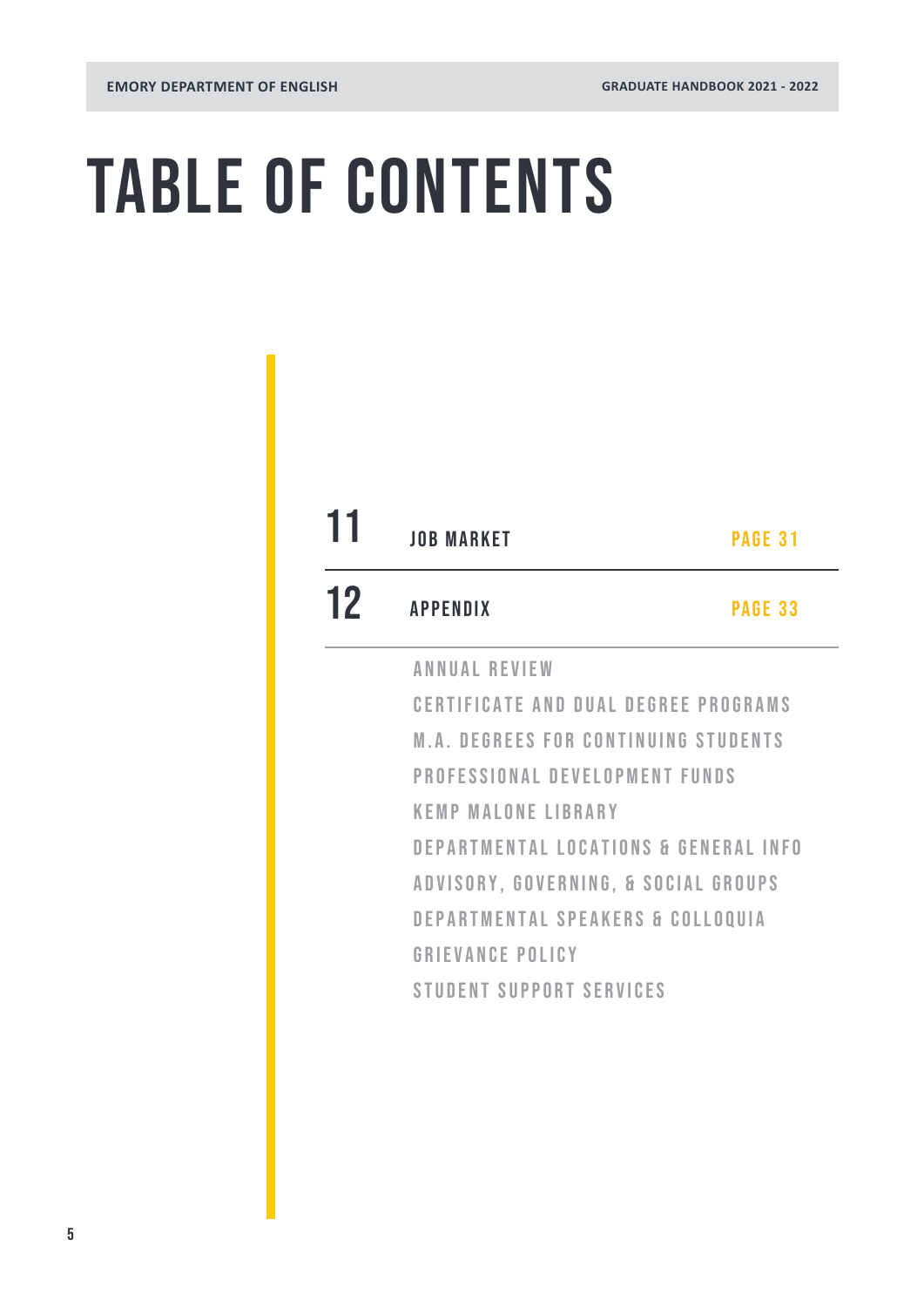## TABLE OF CONTENTS

| 11 | <b>JOB MARKET</b>                            | <b>PAGE 31</b> |  |
|----|----------------------------------------------|----------------|--|
| 12 | <b>APPENDIX</b>                              | <b>PAGE 33</b> |  |
|    | <b>ANNUAL REVIEW</b>                         |                |  |
|    | <b>CERTIFICATE AND DUAL DEGREE PROGRAMS</b>  |                |  |
|    | <b>M.A. DEGREES FOR CONTINUING STUDENTS</b>  |                |  |
|    | PROFESSIONAL DEVELOPMENT FUNDS               |                |  |
|    | <b>KEMP MALONE LIBRARY</b>                   |                |  |
|    | DEPARTMENTAL LOCATIONS & GENERAL INFO        |                |  |
|    | ADVISORY, GOVERNING, & SOCIAL GROUPS         |                |  |
|    | <b>DEPARTMENTAL SPEAKERS &amp; COLLOQUIA</b> |                |  |
|    | <b>GRIEVANCE POLICY</b>                      |                |  |
|    | <b>STUDENT SUPPORT SERVICES</b>              |                |  |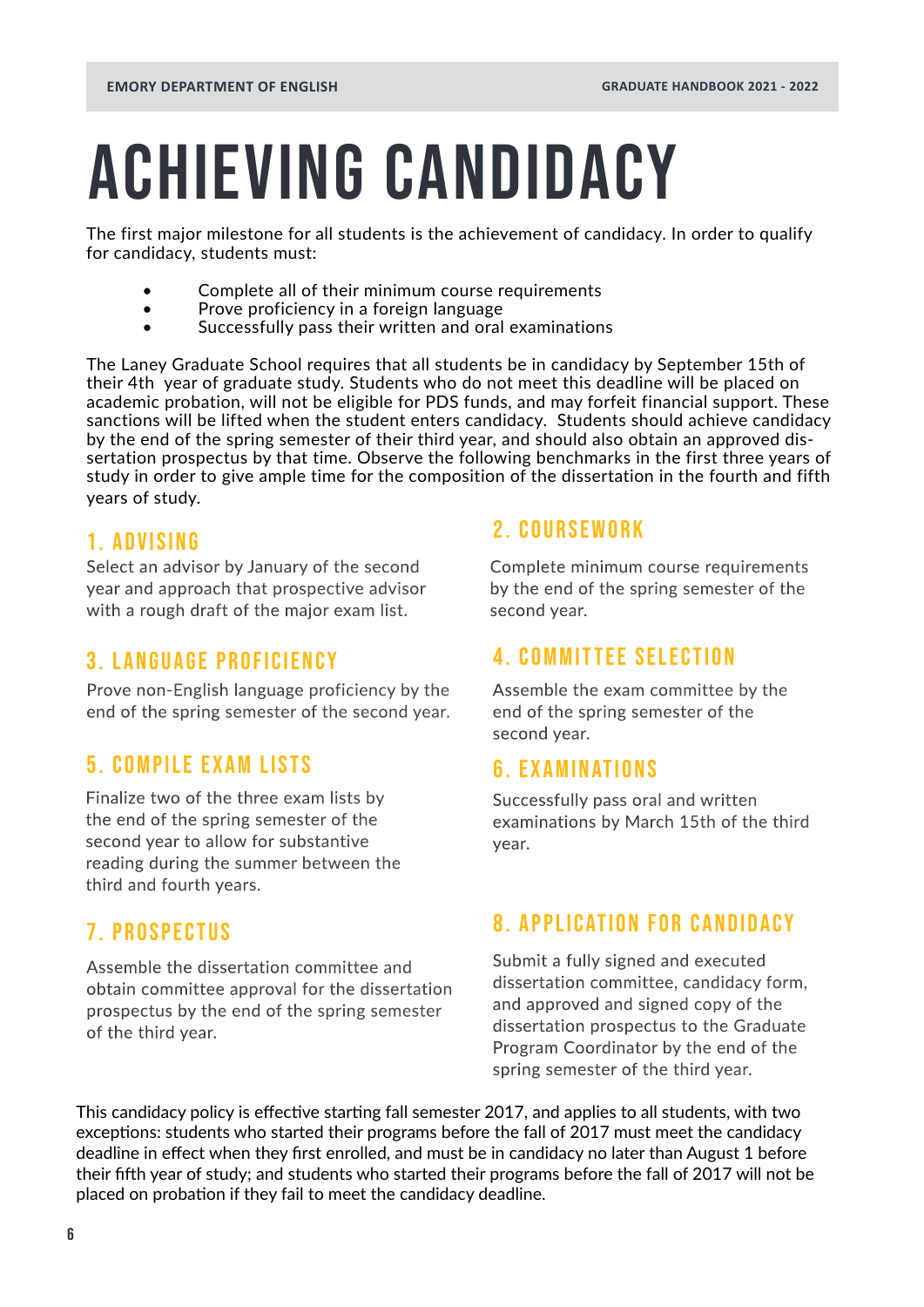## <span id="page-5-0"></span>ACHIEVING CANDIDACY

The first major milestone for all students is the achievement of candidacy. In order to qualify for candidacy, students must:

- Complete all of their minimum course requirements
- Prove proficiency in a foreign language
- Successfully pass their written and oral examinations

The Laney Graduate School requires that all students be in candidacy by September 15th of their 4th year of graduate study. Students who do not meet this deadline will be placed on academic probation, will not be eligible for PDS funds, and may forfeit financial support. These sanctions will be lifted when the student enters candidacy. Students should achieve candidacy by the end of the spring semester of their third year, and should also obtain an approved dissertation prospectus by that time. Observe the following benchmarks in the first three years of study in order to give ample time for the composition of the dissertation in the fourth and fifth years of study.

### 1. ADVISING

Select an advisor by January of the second year and approach that prospective advisor with a rough draft of the major exam list.

### 3. LANGUAGE PROFICIENCY

Prove non-English language proficiency by the end of the spring semester of the second year.

### 5. COMPILE EXAM LISTS

Finalize two of the three exam lists by the end of the spring semester of the second year to allow for substantive reading during the summer between the third and fourth years.

### 7. PROSPECTUS

Assemble the dissertation committee and obtain committee approval for the dissertation prospectus by the end of the spring semester of the third year.

### 2. COURSEWORK

Complete minimum course requirements by the end of the spring semester of the second year.

### 4. COMMITTEE SELECTION

Assemble the exam committee by the end of the spring semester of the second year.

### 6. EXAMINATIONS

Successfully pass oral and written examinations by March 15th of the third year.

### 8. APPLICATION FOR CANDIDACY

Submit a fully signed and executed dissertation committee, candidacy form, and approved and signed copy of the dissertation prospectus to the Graduate Program Coordinator by the end of the spring semester of the third year.

This candidacy policy is effective starting fall semester 2017, and applies to all students, with two exceptions: students who started their programs before the fall of 2017 must meet the candidacy deadline in effect when they first enrolled, and must be in candidacy no later than August 1 before their fifth year of study; and students who started their programs before the fall of 2017 will not be placed on probation if they fail to meet the candidacy deadline.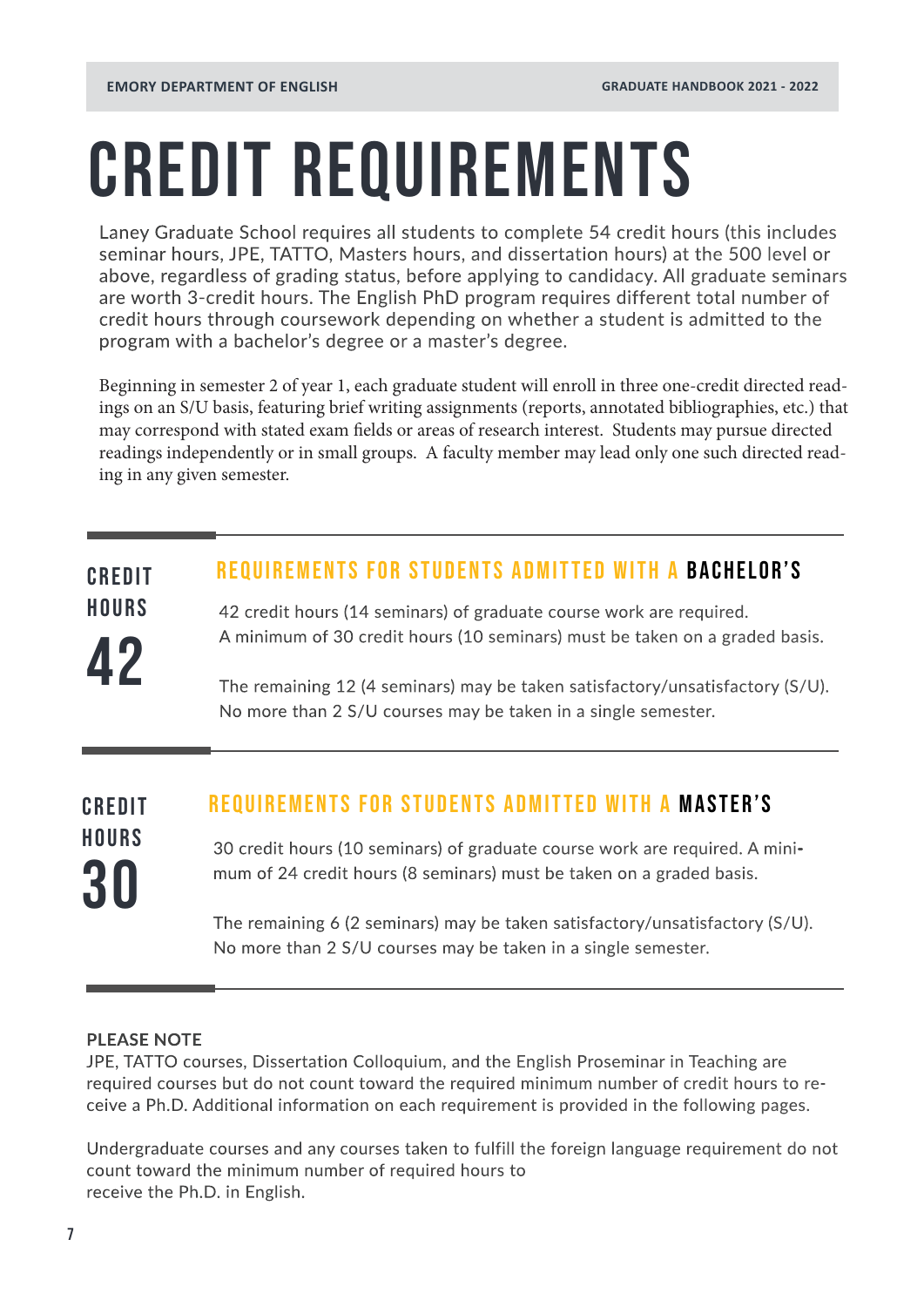## <span id="page-6-0"></span>CREDIT REQUIREMENTS

Laney Graduate School requires all students to complete 54 credit hours (this includes seminar hours, JPE, TATTO, Masters hours, and dissertation hours) at the 500 level or above, regardless of grading status, before applying to candidacy. All graduate seminars are worth 3-credit hours. The English PhD program requires different total number of credit hours through coursework depending on whether a student is admitted to the program with a bachelor's degree or a master's degree.

Beginning in semester 2 of year 1, each graduate student will enroll in three one-credit directed readings on an S/U basis, featuring brief writing assignments (reports, annotated bibliographies, etc.) that may correspond with stated exam fields or areas of research interest. Students may pursue directed readings independently or in small groups. A faculty member may lead only one such directed reading in any given semester.

#### REQUIREMENTS FOR STUDENTS ADMITTED WITH A BACHELOR'S CREDIT

42 credit hours (14 seminars) of graduate course work are required. A minimum of 30 credit hours (10 seminars) must be taken on a graded basis.

The remaining 12 (4 seminars) may be taken satisfactory/unsatisfactory (S/U). No more than 2 S/U courses may be taken in a single semester.

30 credit hours (10 seminars) of graduate course work are required. A minimum of 24 credit hours (8 seminars) must be taken on a graded basis. The remaining 6 (2 seminars) may be taken satisfactory/unsatisfactory (S/U). No more than 2 S/U courses may be taken in a single semester. REQUIREMENTS FOR STUDENTS ADMITTED WITH A MASTER's 30 CREDIT **HOURS** 

#### **PLEASE NOTE**

**HOURS** 

42

JPE, TATTO courses, Dissertation Colloquium, and the English Proseminar in Teaching are required courses but do not count toward the required minimum number of credit hours to receive a Ph.D. Additional information on each requirement is provided in the following pages.

Undergraduate courses and any courses taken to fulfill the foreign language requirement do not count toward the minimum number of required hours to receive the Ph.D. in English.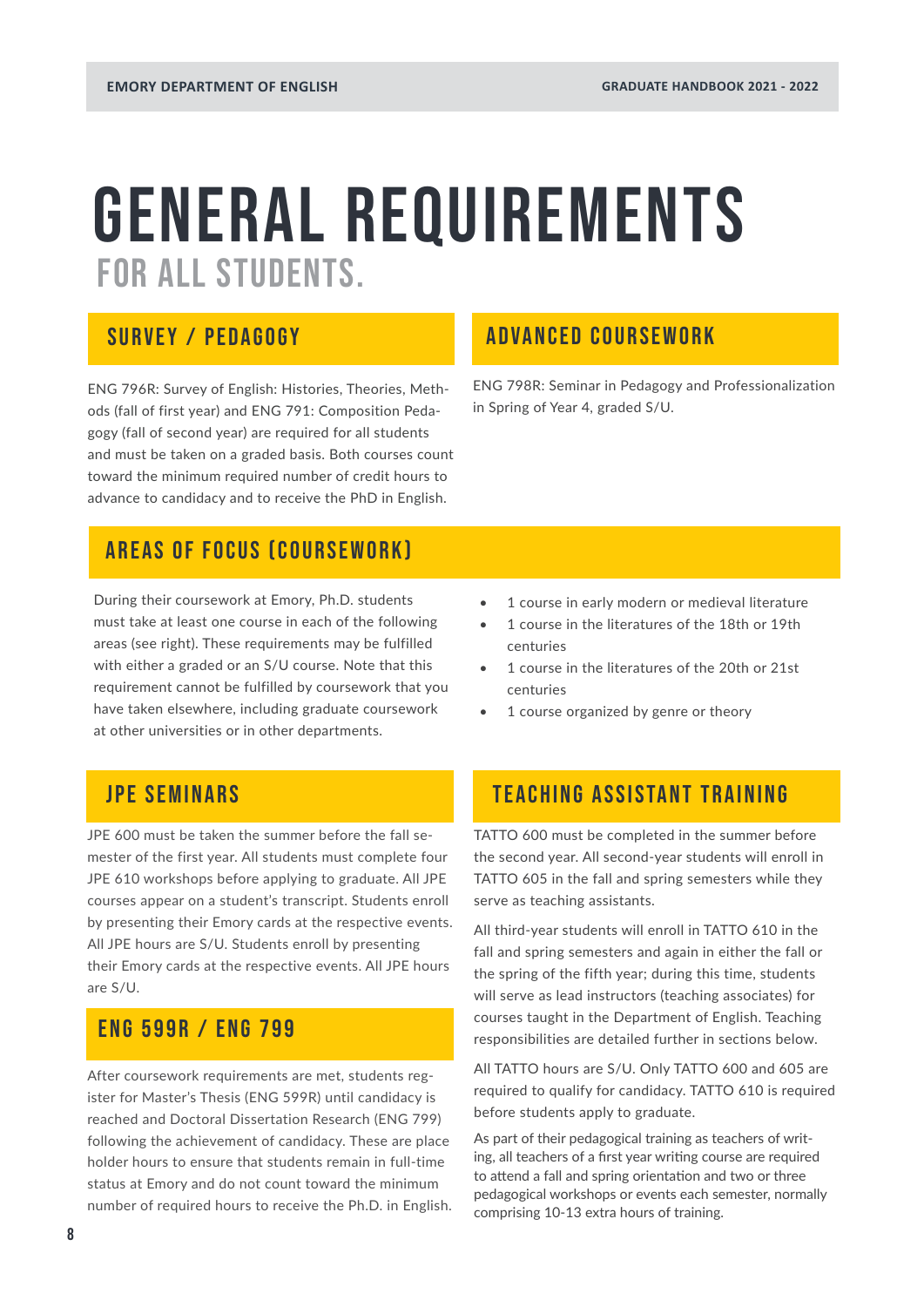### <span id="page-7-0"></span>GENERAL REQUIREMENTS FOR ALL STUDENTS.

### SURVEY / PEDAGOGY

ENG 796R: Survey of English: Histories, Theories, Methods (fall of first year) and ENG 791: Composition Pedagogy (fall of second year) are required for all students and must be taken on a graded basis. Both courses count toward the minimum required number of credit hours to advance to candidacy and to receive the PhD in English.

### AREAS OF FOCUS (COURSEWORK)

During their coursework at Emory, Ph.D. students must take at least one course in each of the following areas (see right). These requirements may be fulfilled with either a graded or an S/U course. Note that this requirement cannot be fulfilled by coursework that you have taken elsewhere, including graduate coursework at other universities or in other departments.

### JPE SEMINARS

JPE 600 must be taken the summer before the fall semester of the first year. All students must complete four JPE 610 workshops before applying to graduate. All JPE courses appear on a student's transcript. Students enroll by presenting their Emory cards at the respective events. All JPE hours are S/U. Students enroll by presenting their Emory cards at the respective events. All JPE hours are S/U.

### ENG 599R / ENG 799

After coursework requirements are met, students register for Master's Thesis (ENG 599R) until candidacy is reached and Doctoral Dissertation Research (ENG 799) following the achievement of candidacy. These are place holder hours to ensure that students remain in full-time status at Emory and do not count toward the minimum number of required hours to receive the Ph.D. in English.

### ADVANCED COURSEWORK

ENG 798R: Seminar in Pedagogy and Professionalization in Spring of Year 4, graded S/U.

- 1 course in early modern or medieval literature
- 1 course in the literatures of the 18th or 19th centuries
- 1 course in the literatures of the 20th or 21st centuries
- 1 course organized by genre or theory

### TEACHING ASSISTANT TRAINING

TATTO 600 must be completed in the summer before the second year. All second-year students will enroll in TATTO 605 in the fall and spring semesters while they serve as teaching assistants.

All third-year students will enroll in TATTO 610 in the fall and spring semesters and again in either the fall or the spring of the fifth year; during this time, students will serve as lead instructors (teaching associates) for courses taught in the Department of English. Teaching responsibilities are detailed further in sections below.

All TATTO hours are S/U. Only TATTO 600 and 605 are required to qualify for candidacy. TATTO 610 is required before students apply to graduate.

As part of their pedagogical training as teachers of writing, all teachers of a first year writing course are required to attend a fall and spring orientation and two or three pedagogical workshops or events each semester, normally comprising 10-13 extra hours of training.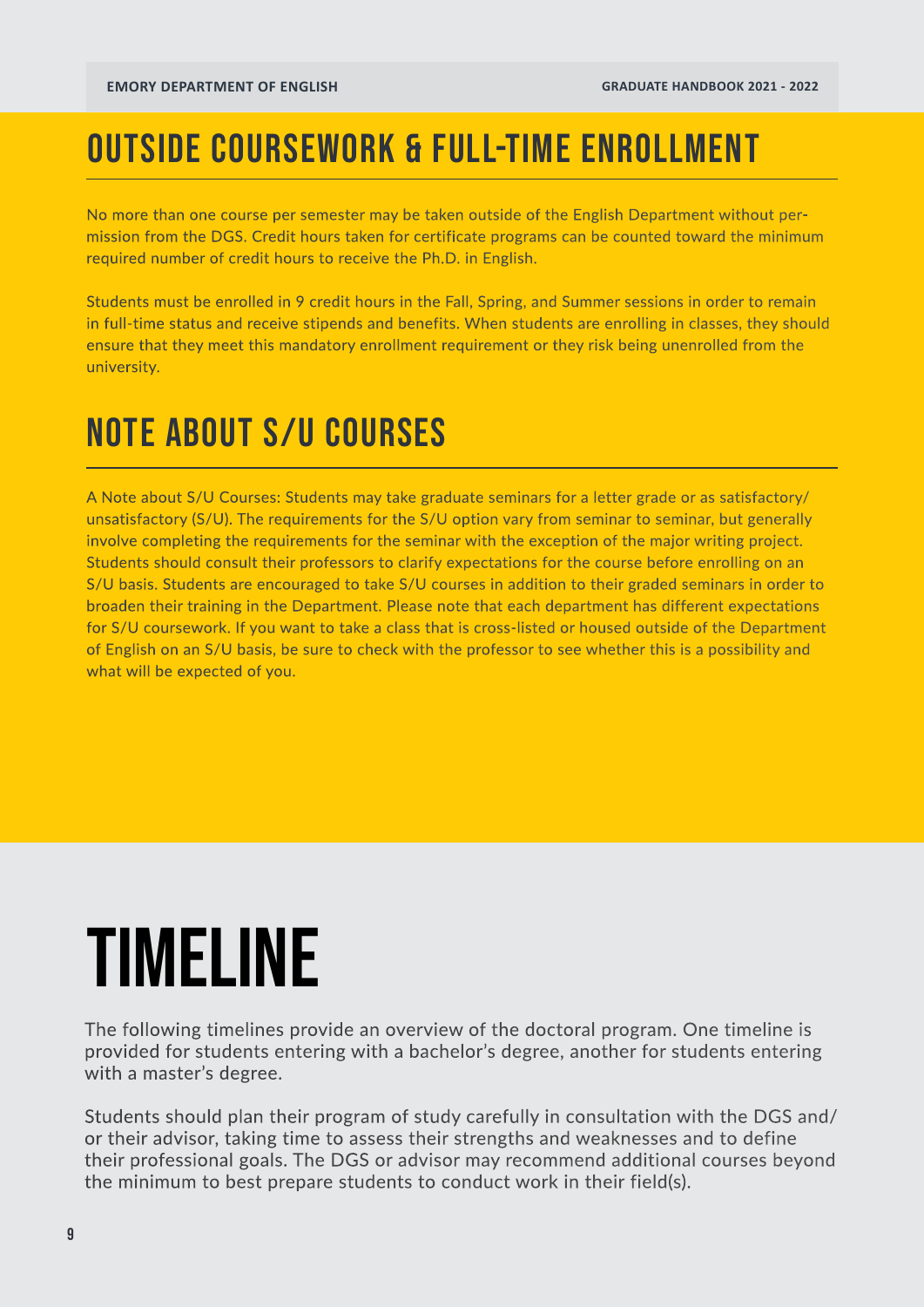### OUTSIDE COURSEWORK & FULL-TIME ENROLLMENT

No more than one course per semester may be taken outside of the English Department without permission from the DGS. Credit hours taken for certificate programs can be counted toward the minimum required number of credit hours to receive the Ph.D. in English.

Students must be enrolled in 9 credit hours in the Fall, Spring, and Summer sessions in order to remain in full-time status and receive stipends and benefits. When students are enrolling in classes, they should ensure that they meet this mandatory enrollment requirement or they risk being unenrolled from the university.

### NOTE ABOUT S/U COURSES

A Note about S/U Courses: Students may take graduate seminars for a letter grade or as satisfactory/ unsatisfactory (S/U). The requirements for the S/U option vary from seminar to seminar, but generally involve completing the requirements for the seminar with the exception of the major writing project. Students should consult their professors to clarify expectations for the course before enrolling on an S/U basis. Students are encouraged to take S/U courses in addition to their graded seminars in order to broaden their training in the Department. Please note that each department has different expectations for S/U coursework. If you want to take a class that is cross-listed or housed outside of the Department of English on an S/U basis, be sure to check with the professor to see whether this is a possibility and what will be expected of you.

## TIMELINE

The following timelines provide an overview of the doctoral program. One timeline is provided for students entering with a bachelor's degree, another for students entering with a master's degree.

Students should plan their program of study carefully in consultation with the DGS and/ or their advisor, taking time to assess their strengths and weaknesses and to define their professional goals. The DGS or advisor may recommend additional courses beyond the minimum to best prepare students to conduct work in their field(s).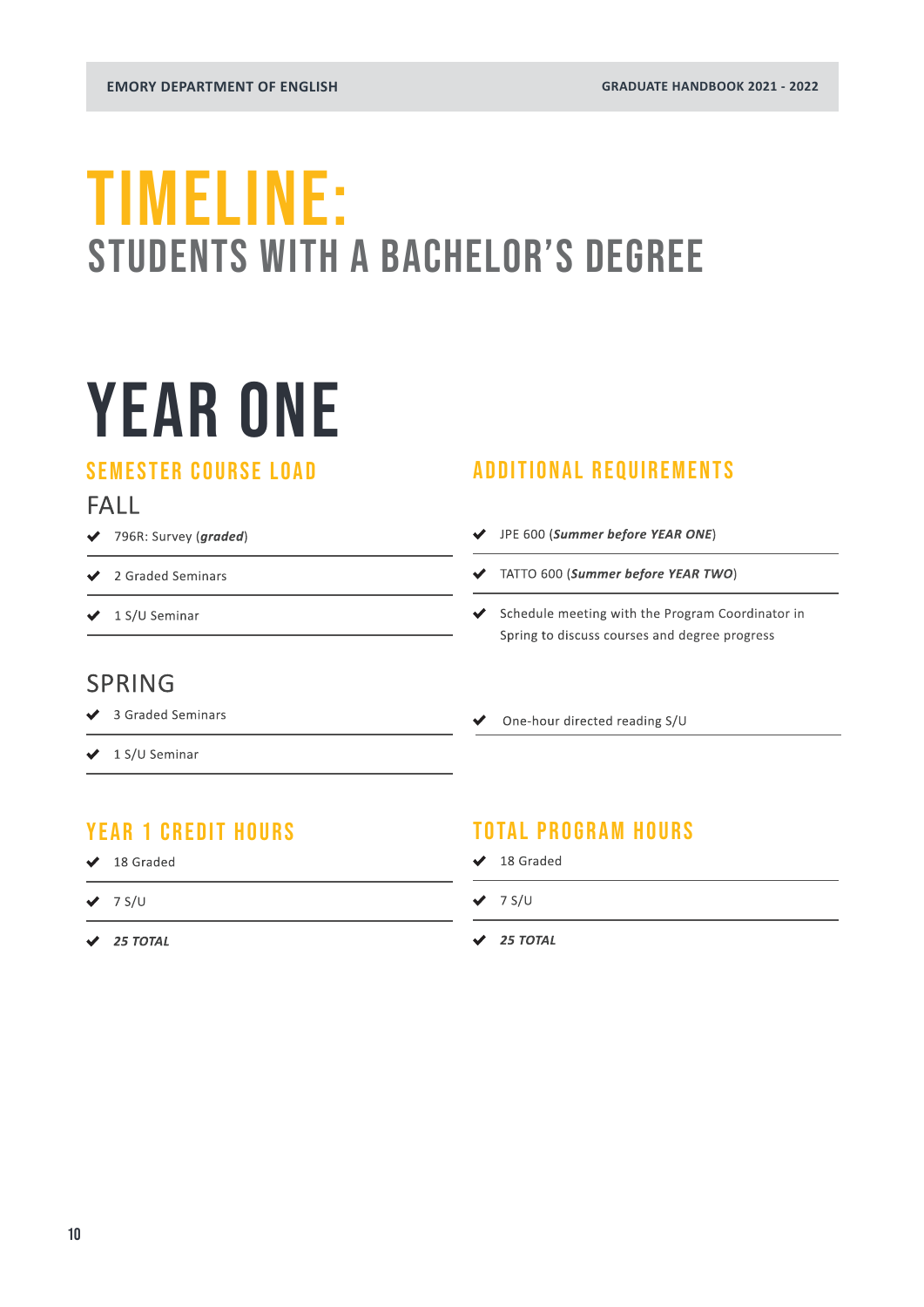### <span id="page-9-0"></span>TIMELINE: STUDENTS WITH A BACHELOR'S DEGREE

## YEAR ONE

### SEMESTER COURSE LOAD

### FALL

- 796R: Survey (*graded*)
- ◆ 2 Graded Seminars
- $\bigvee$  1 S/U Seminar

### ADDITIONAL REQUIREMENTS

- JPE 600 (*Summer before YEAR ONE*)
- TATTO 600 (*Summer before YEAR TWO*)
- Schedule meeting with the Program Coordinator in Spring to discuss courses and degree progress

### SPRING

- ◆ 3 Graded Seminars
- $\bigvee$  1 S/U Seminar

### YEAR 1 CREDIT HOURS

- ◆ 18 Graded
- $\vee$  7 S/U
- *25 TOTAL*

### TOTAL PROGRAM HOURS

One-hour directed reading S/U

- $\overline{\smash{\bigstar}}$  18 Graded
- $\vee$  7 S/U
- *25 TOTAL*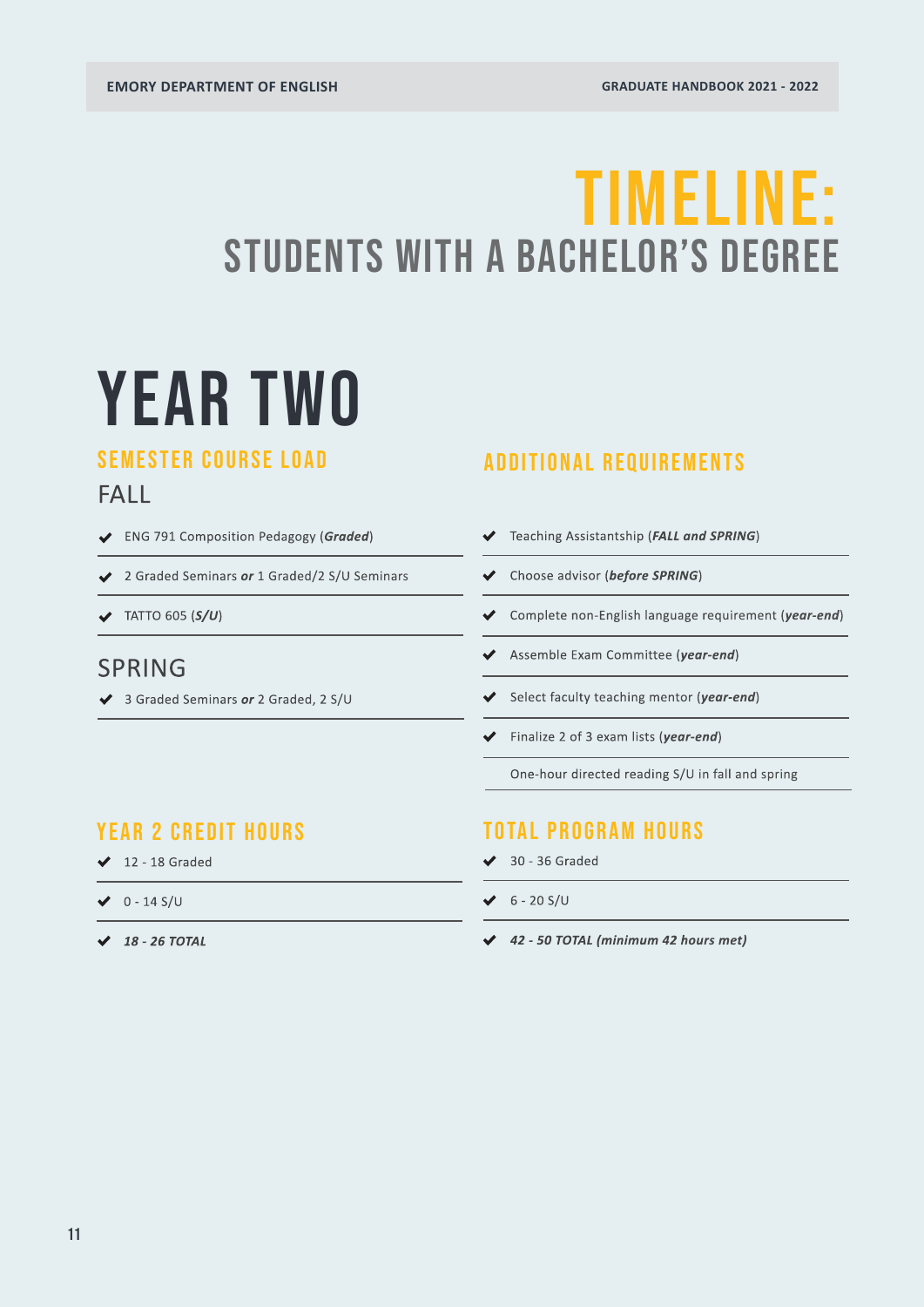### TIMELINE: STUDENTS WITH A BACHELOR'S DEGREE

## YEAR TWO

### SEMESTER COURSE LOAD

### FALL

- ENG 791 Composition Pedagogy (*Graded*)
- 2 Graded Seminars *or* 1 Graded/2 S/U Seminars
- TATTO 605 (*S/U*)

### SPRING

3 Graded Seminars *or* 2 Graded, 2 S/U

### ADDITIONAL REQUIREMENTS

- Teaching Assistantship (*FALL and SPRING*)
- Choose advisor (*before SPRING*)
- ◆ Complete non-English language requirement (*year-end*)
- Assemble Exam Committee (*year-end*)
- Select faculty teaching mentor (*year-end*)
- Finalize 2 of 3 exam lists (*year-end*)

One-hour directed reading S/U in fall and spring

### YEAR 2 CREDIT HOURS

- $\angle$  12 18 Graded
- $\vee$  0 14 S/U
- *18 26 TOTAL*

### TOTAL PROGRAM HOURS

- $\overline{\smash{\bigtriangledown}}$  30 36 Graded
- $6 20$  S/U
- *42 50 TOTAL (minimum 42 hours met)*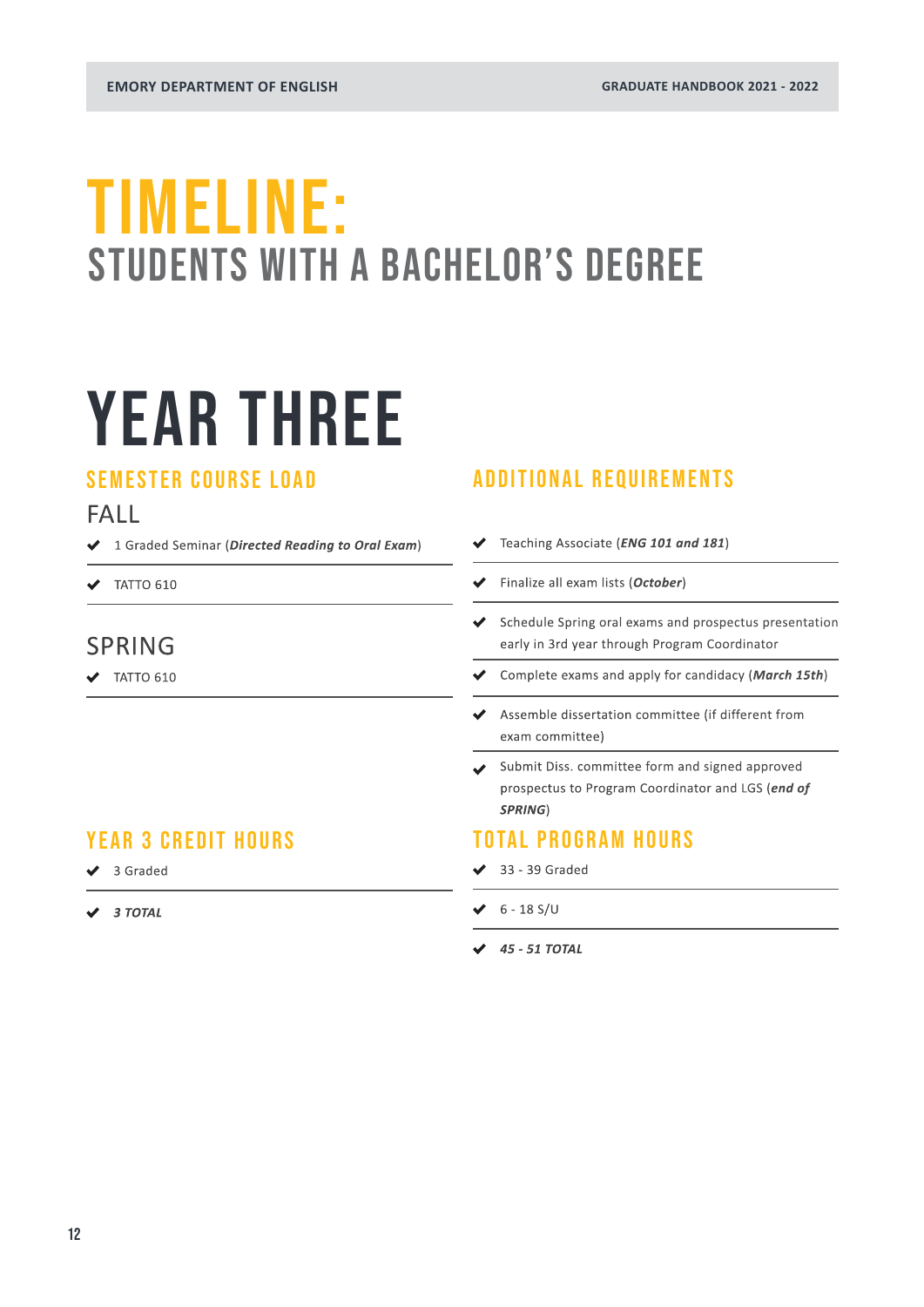### TIMELINE: STUDENTS WITH A BACHELOR'S DEGREE

## YEAR THREE

### SEMESTER COURSE LOAD

### FALL

- 1 Graded Seminar (*Directed Reading to Oral Exam*)
- $\blacktriangledown$  TATTO 610

### SPRING

 $\bigvee$  TATTO 610

### YEAR 3 CREDIT HOURS

- ◆ 3 Graded
- *3 TOTAL*

### ADDITIONAL REQUIREMENTS

- Teaching Associate (*ENG 101 and 181*)  $\checkmark$
- Finalize all exam lists (*October*)
- $\triangleleft$  Schedule Spring oral exams and prospectus presentation early in 3rd year through Program Coordinator
- Complete exams and apply for candidacy (*March 15th*)
- Assemble dissertation committee (if different from exam committee)
- Submit Diss. committee form and signed approved prospectus to Program Coordinator and LGS (*end of SPRING*)

### TOTAL PROGRAM HOURS

- $\overline{\smash{\bigstar}}$  33 39 Graded
- $6 18$  S/U
- *45 51 TOTAL*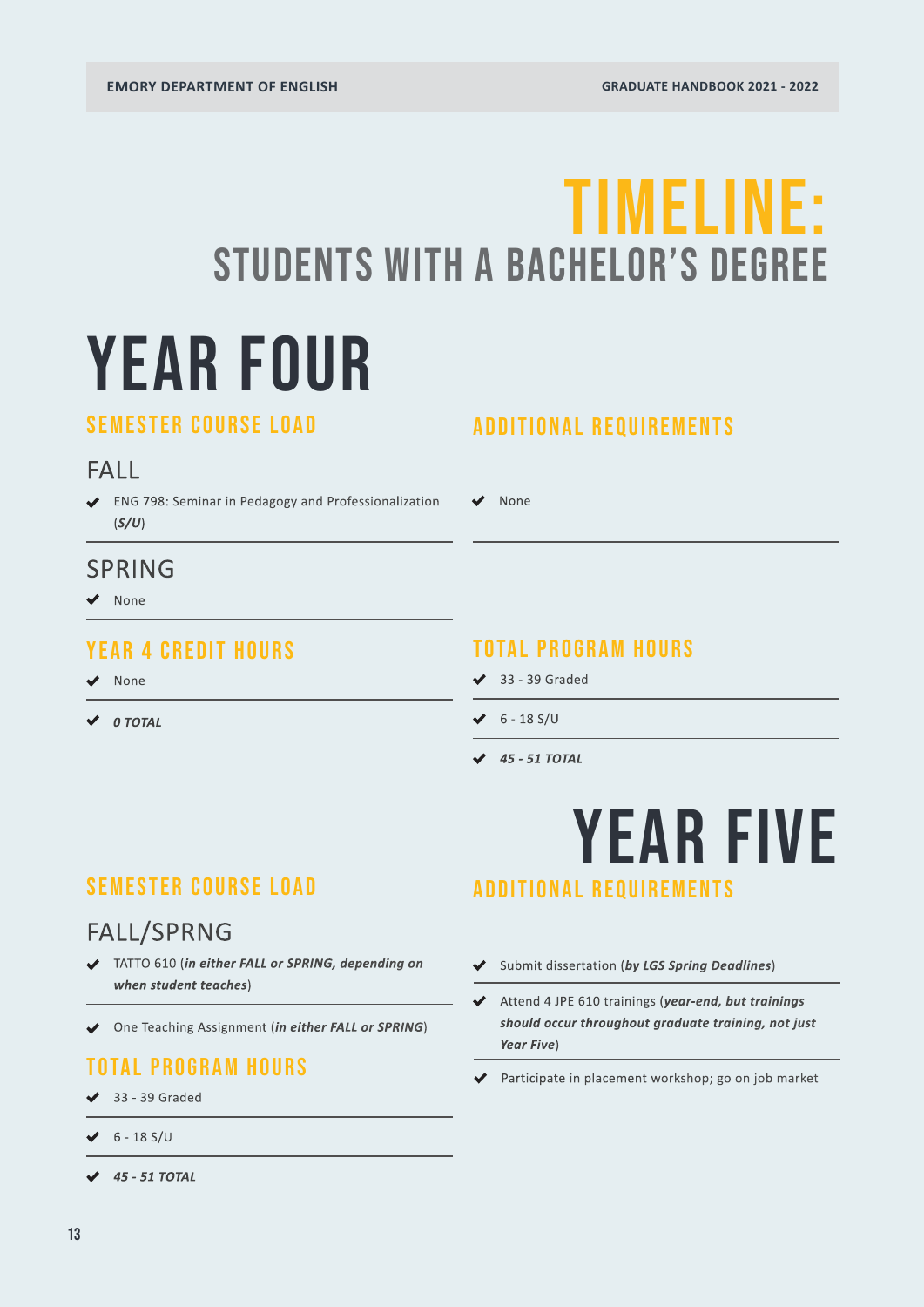## YEAR FOUR TIMELINE: STUDENTS WITH A BACHELOR'S DEGREE

### SEMESTER COURSE LOAD

### FALL

ENG 798: Seminar in Pedagogy and Professionalization (*S/U*)

### SPRING

◆ None

### YEAR 4 CREDIT HOURS

None

*0 TOTAL*

### ADDITIONAL REQUIREMENTS

None

### TOTAL PROGRAM HOURS

- $\overline{\smash{\bigstar}}$  33 39 Graded
- $6 18$  S/U
- *45 51 TOTAL*

### SEMESTER COURSE LOAD

### FALL/SPRNG

- TATTO 610 (*in either FALL or SPRING, depending on when student teaches*)
- One Teaching Assignment (*in either FALL or SPRING*)

### TOTAL PROGRAM HOURS

- $\overline{\smash{\bigstar}}$  33 39 Graded
- $6 18$  S/U
- *45 51 TOTAL*

### YEAR FIVE ADDITIONAL REQUIREMENTS

- Submit dissertation (*by LGS Spring Deadlines*)
- Attend 4 JPE 610 trainings (*year-end, but trainings should occur throughout graduate training, not just Year Five*)
- Participate in placement workshop; go on job market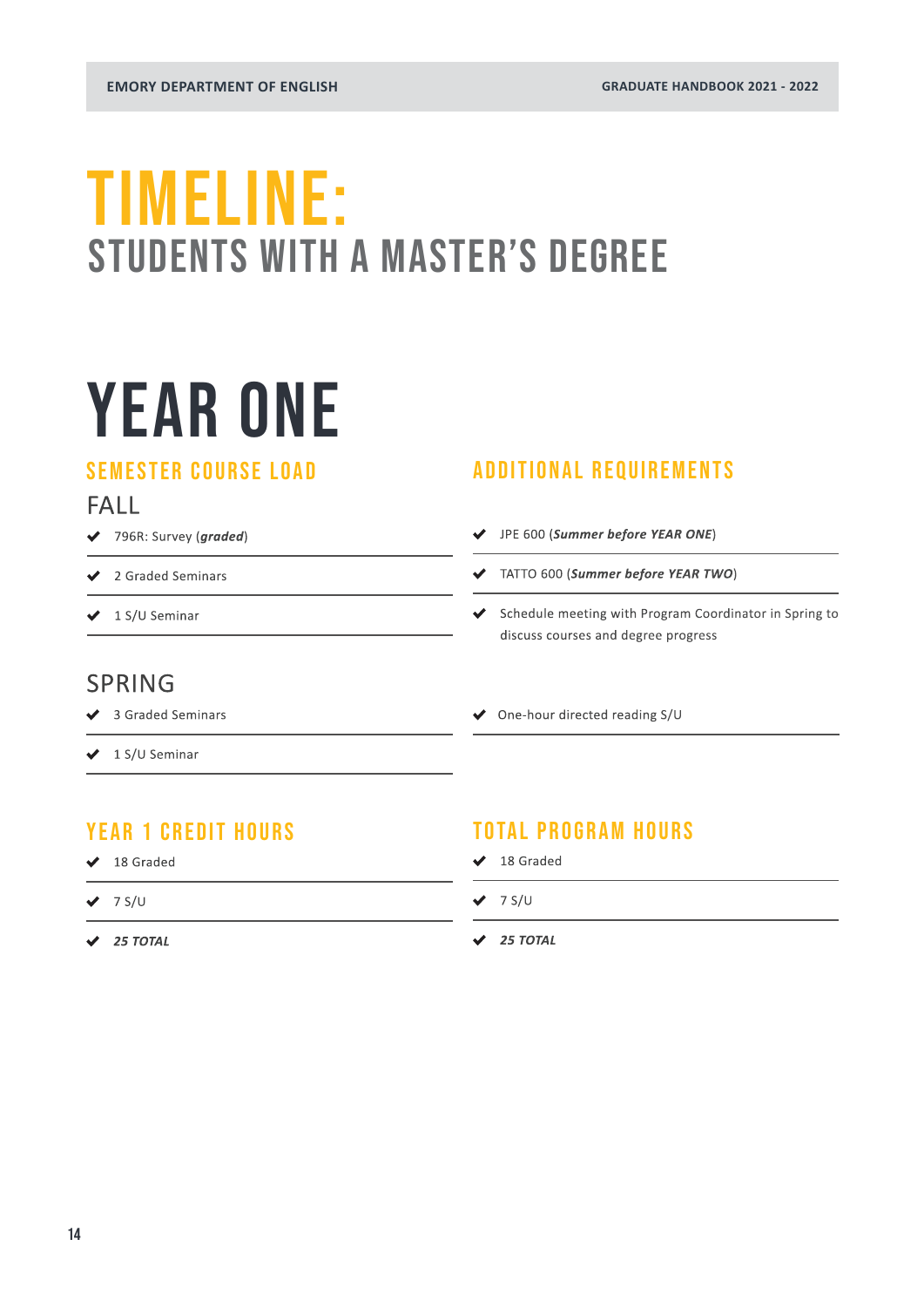### <span id="page-13-0"></span>TIMELINE: STUDENTS WITH A MASTER'S DEGREE

## YEAR ONE

### SEMESTER COURSE LOAD

### FALL

- 796R: Survey (*graded*)
- ◆ 2 Graded Seminars
- $\bigvee$  1 S/U Seminar

### ADDITIONAL REQUIREMENTS

- JPE 600 (*Summer before YEAR ONE*)
- TATTO 600 (*Summer before YEAR TWO*)
- Schedule meeting with Program Coordinator in Spring to discuss courses and degree progress

### SPRING

- ◆ 3 Graded Seminars
- $\bigvee$  1 S/U Seminar

### YEAR 1 CREDIT HOURS

- ◆ 18 Graded
- $\vee$  7 S/U
- *25 TOTAL*

### TOTAL PROGRAM HOURS

◆ One-hour directed reading S/U

- $\overline{\smash{\bigstar}}$  18 Graded
- $\vee$  7 S/U
- *25 TOTAL*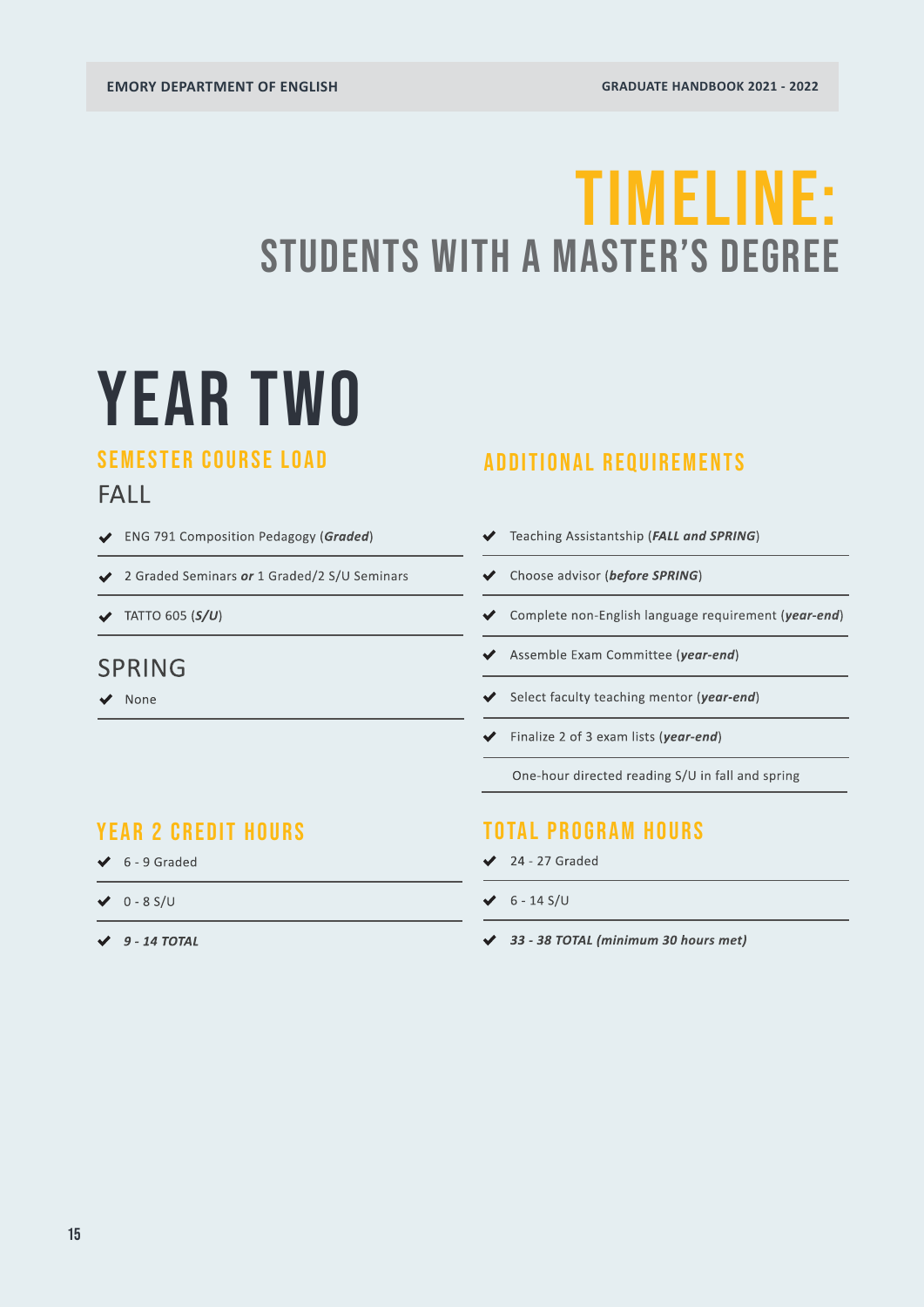### TIMELINE: STUDENTS WITH A MASTER'S DEGREE

## YEAR TWO

### SEMESTER COURSE LOAD

### FALL

- ENG 791 Composition Pedagogy (*Graded*)
- 2 Graded Seminars *or* 1 Graded/2 S/U Seminars
- TATTO 605 (*S/U*)

### SPRING

◆ None

### ADDITIONAL REQUIREMENTS

- Teaching Assistantship (*FALL and SPRING*)
- Choose advisor (*before SPRING*)
- ◆ Complete non-English language requirement (*year-end*)
- Assemble Exam Committee (*year-end*)
- Select faculty teaching mentor (*year-end*)
- Finalize 2 of 3 exam lists (*year-end*)

One-hour directed reading S/U in fall and spring

### YEAR 2 CREDIT HOURS

- $6 9$  Graded
- $0 8$  S/U
- *9 14 TOTAL*

### TOTAL PROGRAM HOURS

- $\angle$  24 27 Graded
- $6 14$  S/U
- *33 38 TOTAL (minimum 30 hours met)*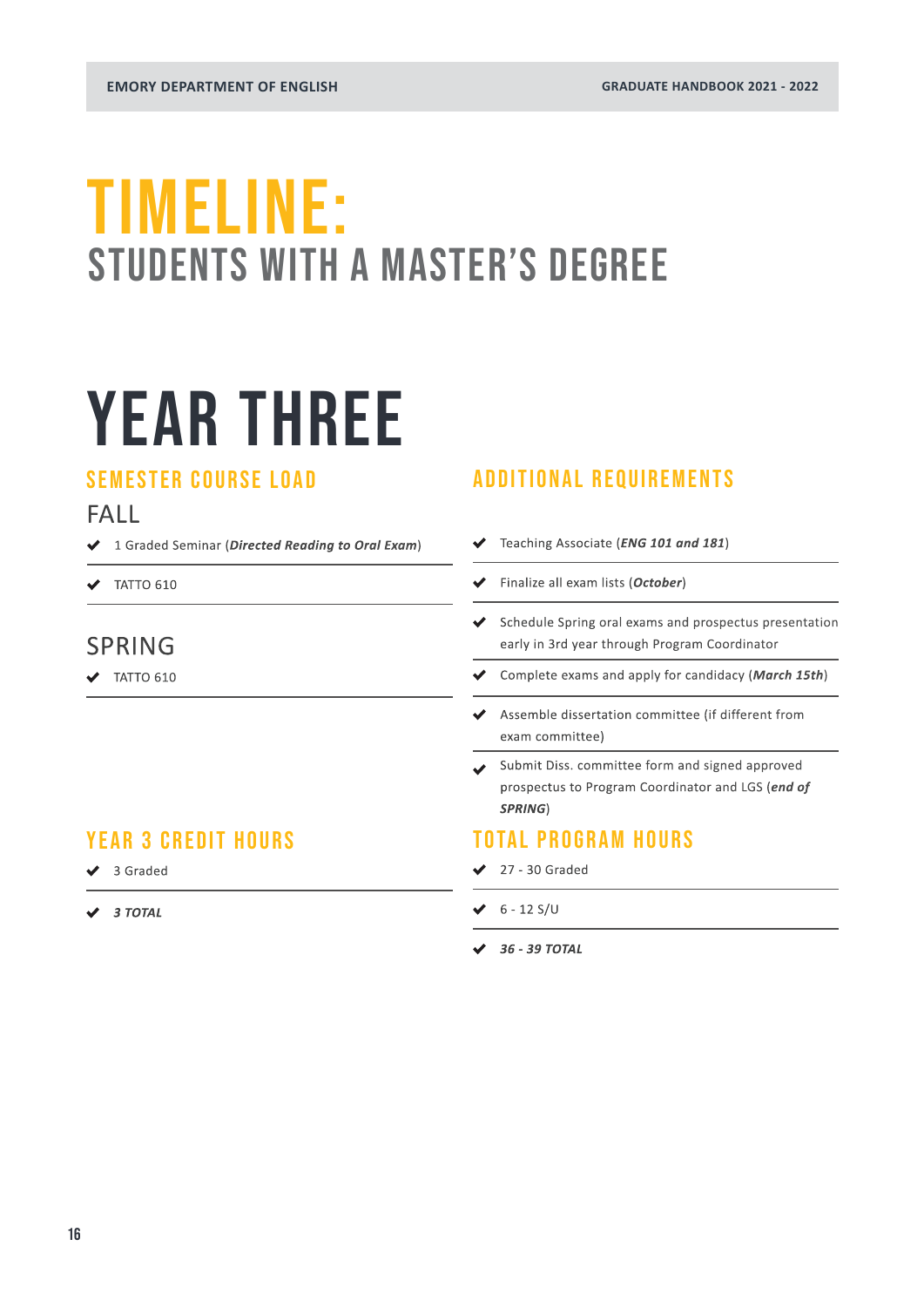### TIMELINE: STUDENTS WITH A MASTER'S DEGREE

## YEAR THREE

### SEMESTER COURSE LOAD

### FALL

- 1 Graded Seminar (*Directed Reading to Oral Exam*)
- $\blacktriangledown$  TATTO 610

### SPRING

 $\bigvee$  TATTO 610

### YEAR 3 CREDIT HOURS

- ◆ 3 Graded
- *3 TOTAL*

### ADDITIONAL REQUIREMENTS

- Teaching Associate (*ENG 101 and 181*)  $\checkmark$
- Finalize all exam lists (*October*)
- $\triangleleft$  Schedule Spring oral exams and prospectus presentation early in 3rd year through Program Coordinator
- Complete exams and apply for candidacy (*March 15th*)
- Assemble dissertation committee (if different from exam committee)
- Submit Diss. committee form and signed approved prospectus to Program Coordinator and LGS (*end of SPRING*)

### TOTAL PROGRAM HOURS

- $\angle$  27 30 Graded
- $6 12$  S/U
- *36 39 TOTAL*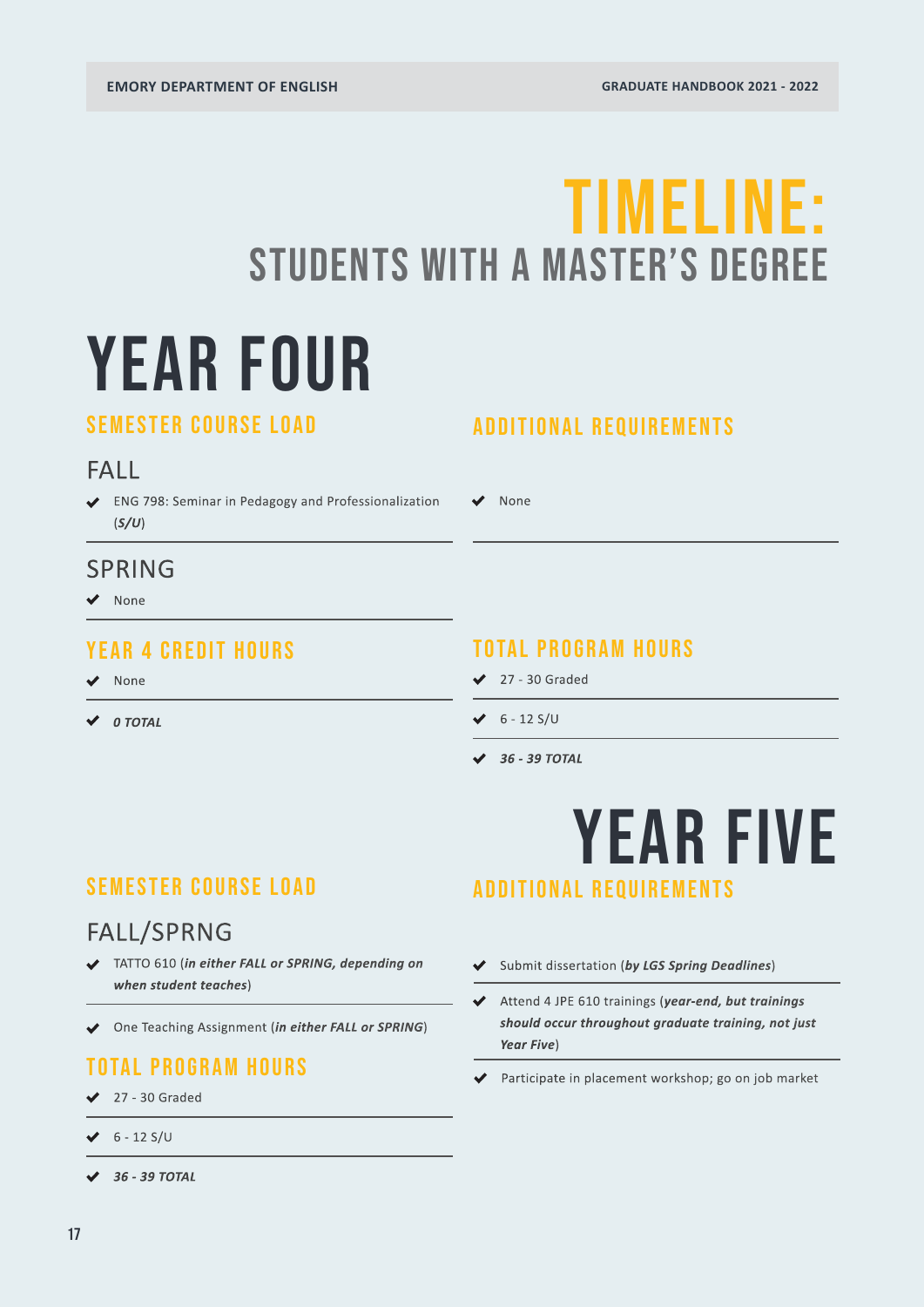## YEAR FOUR TIMELINE: STUDENTS WITH A MASTER'S DEGREE

### SEMESTER COURSE LOAD

### FALL

ENG 798: Seminar in Pedagogy and Professionalization (*S/U*)

### SPRING

◆ None

### YEAR 4 CREDIT HOURS

None

*0 TOTAL*

### ADDITIONAL REQUIREMENTS

None

### TOTAL PROGRAM HOURS

- $\angle$  27 30 Graded
- $6 12$  S/U
- *36 39 TOTAL*

### SEMESTER COURSE LOAD

### FALL/SPRNG

- TATTO 610 (*in either FALL or SPRING, depending on when student teaches*)
- One Teaching Assignment (*in either FALL or SPRING*)

### TOTAL PROGRAM HOURS

- $\angle$  27 30 Graded
- $6 12$  S/U
- *36 39 TOTAL*

### YEAR FIVE ADDITIONAL REQUIREMENTS

- Submit dissertation (*by LGS Spring Deadlines*)
- Attend 4 JPE 610 trainings (*year-end, but trainings should occur throughout graduate training, not just Year Five*)
- Participate in placement workshop; go on job market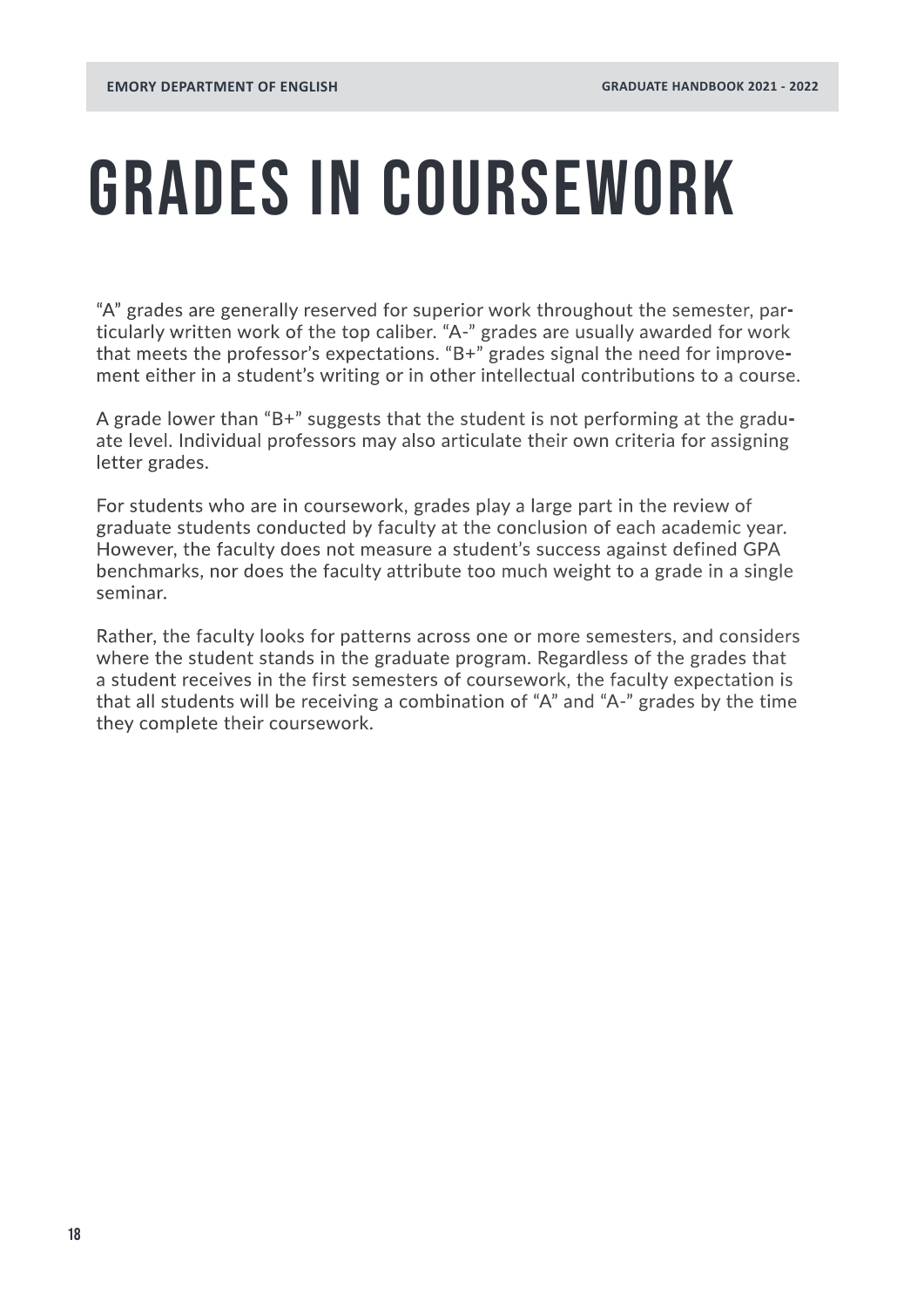## <span id="page-17-0"></span>GRADES IN COURSEWORK

"A" grades are generally reserved for superior work throughout the semester, particularly written work of the top caliber. "A-" grades are usually awarded for work that meets the professor's expectations. "B+" grades signal the need for improvement either in a student's writing or in other intellectual contributions to a course.

A grade lower than "B+" suggests that the student is not performing at the graduate level. Individual professors may also articulate their own criteria for assigning letter grades.

For students who are in coursework, grades play a large part in the review of graduate students conducted by faculty at the conclusion of each academic year. However, the faculty does not measure a student's success against defined GPA benchmarks, nor does the faculty attribute too much weight to a grade in a single seminar.

Rather, the faculty looks for patterns across one or more semesters, and considers where the student stands in the graduate program. Regardless of the grades that a student receives in the first semesters of coursework, the faculty expectation is that all students will be receiving a combination of "A" and "A-" grades by the time they complete their coursework.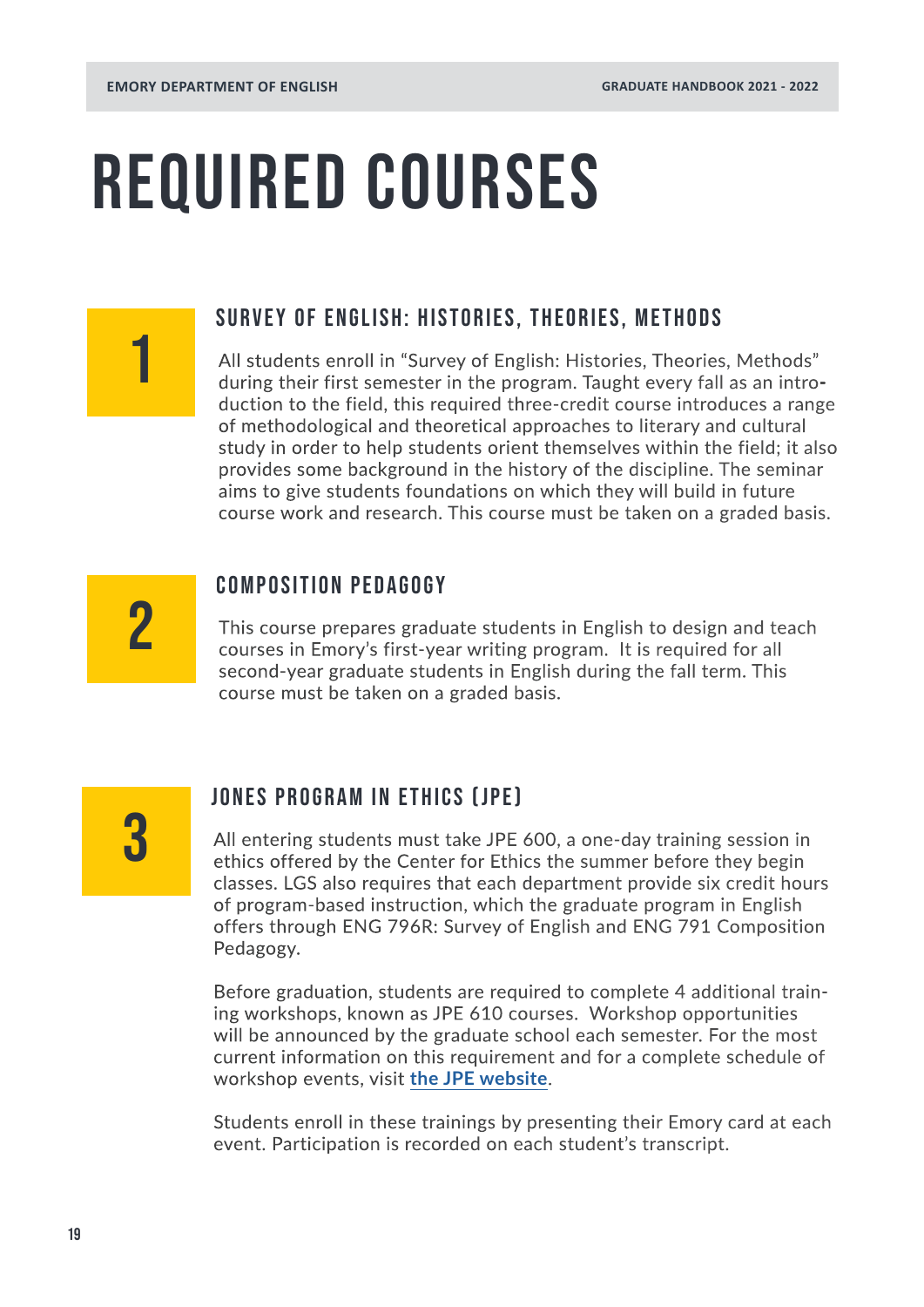## REQUIRED COURSES

#### SURVEY OF ENGLISH: HISTORIES, THEORIES, METHODS

All students enroll in "Survey of English: Histories, Theories, Methods" during their first semester in the program. Taught every fall as an introduction to the field, this required three-credit course introduces a range of methodological and theoretical approaches to literary and cultural study in order to help students orient themselves within the field; it also provides some background in the history of the discipline. The seminar aims to give students foundations on which they will build in future course work and research. This course must be taken on a graded basis.

2

1

#### COMPOSITION PEDAGOGY

This course prepares graduate students in English to design and teach courses in Emory's first-year writing program. It is required for all second-year graduate students in English during the fall term. This course must be taken on a graded basis.

3

### JONES PROGRAM IN ETHICS (JPE)

All entering students must take JPE 600, a one-day training session in ethics offered by the Center for Ethics the summer before they begin classes. LGS also requires that each department provide six credit hours of program-based instruction, which the graduate program in English offers through ENG 796R: Survey of English and ENG 791 Composition Pedagogy.

Before graduation, students are required to complete 4 additional training workshops, known as JPE 610 courses. Workshop opportunities will be announced by the graduate school each semester. For the most current information on this requirement and for a complete schedule of workshop events, visit **[the JPE website](https://gs.emory.edu/professional-development/jpe/index.html)**.

Students enroll in these trainings by presenting their Emory card at each event. Participation is recorded on each student's transcript.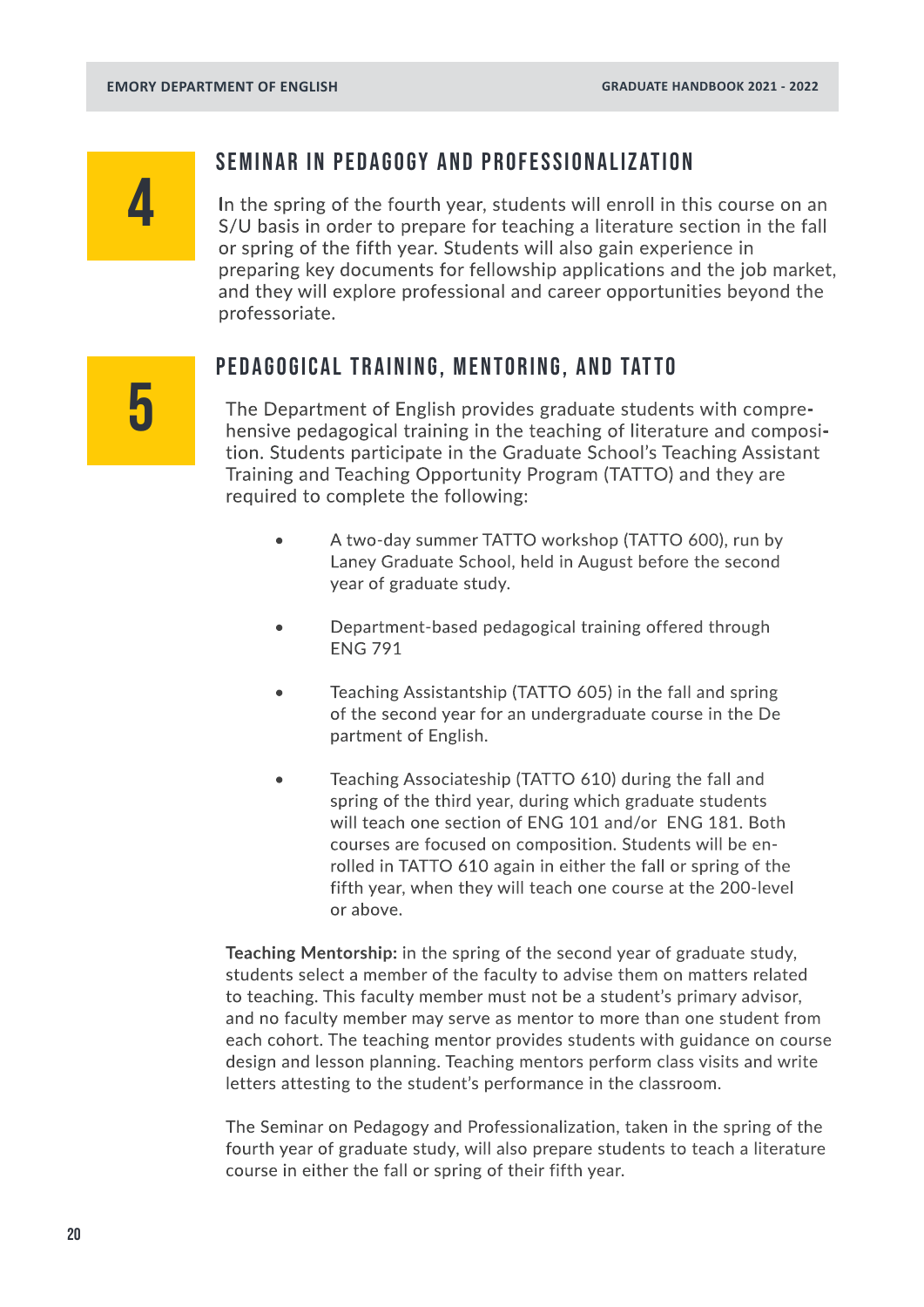## 4

#### SEMINAR IN PEDAGOGY AND PROFESSIONALIZATION

In the spring of the fourth year, students will enroll in this course on an S/U basis in order to prepare for teaching a literature section in the fall or spring of the fifth year. Students will also gain experience in preparing key documents for fellowship applications and the job market, and they will explore professional and career opportunities beyond the professoriate.

## 5

### Pedagogical training, mentoring, and tatto

The Department of English provides graduate students with comprehensive pedagogical training in the teaching of literature and composition. Students participate in the Graduate School's Teaching Assistant Training and Teaching Opportunity Program (TATTO) and they are required to complete the following:

- A two-day summer TATTO workshop (TATTO 600), run by Laney Graduate School, held in August before the second year of graduate study.
- Department-based pedagogical training offered through ENG 791
- Teaching Assistantship (TATTO 605) in the fall and spring of the second year for an undergraduate course in the De partment of English.
- Teaching Associateship (TATTO 610) during the fall and spring of the third year, during which graduate students will teach one section of ENG 101 and/or ENG 181. Both courses are focused on composition. Students will be en rolled in TATTO 610 again in either the fall or spring of the fifth year, when they will teach one course at the 200-level or above.

**Teaching Mentorship:** in the spring of the second year of graduate study, students select a member of the faculty to advise them on matters related to teaching. This faculty member must not be a student's primary advisor, and no faculty member may serve as mentor to more than one student from each cohort. The teaching mentor provides students with guidance on course design and lesson planning. Teaching mentors perform class visits and write letters attesting to the student's performance in the classroom.

The Seminar on Pedagogy and Professionalization, taken in the spring of the fourth year of graduate study, will also prepare students to teach a literature course in either the fall or spring of their fifth year.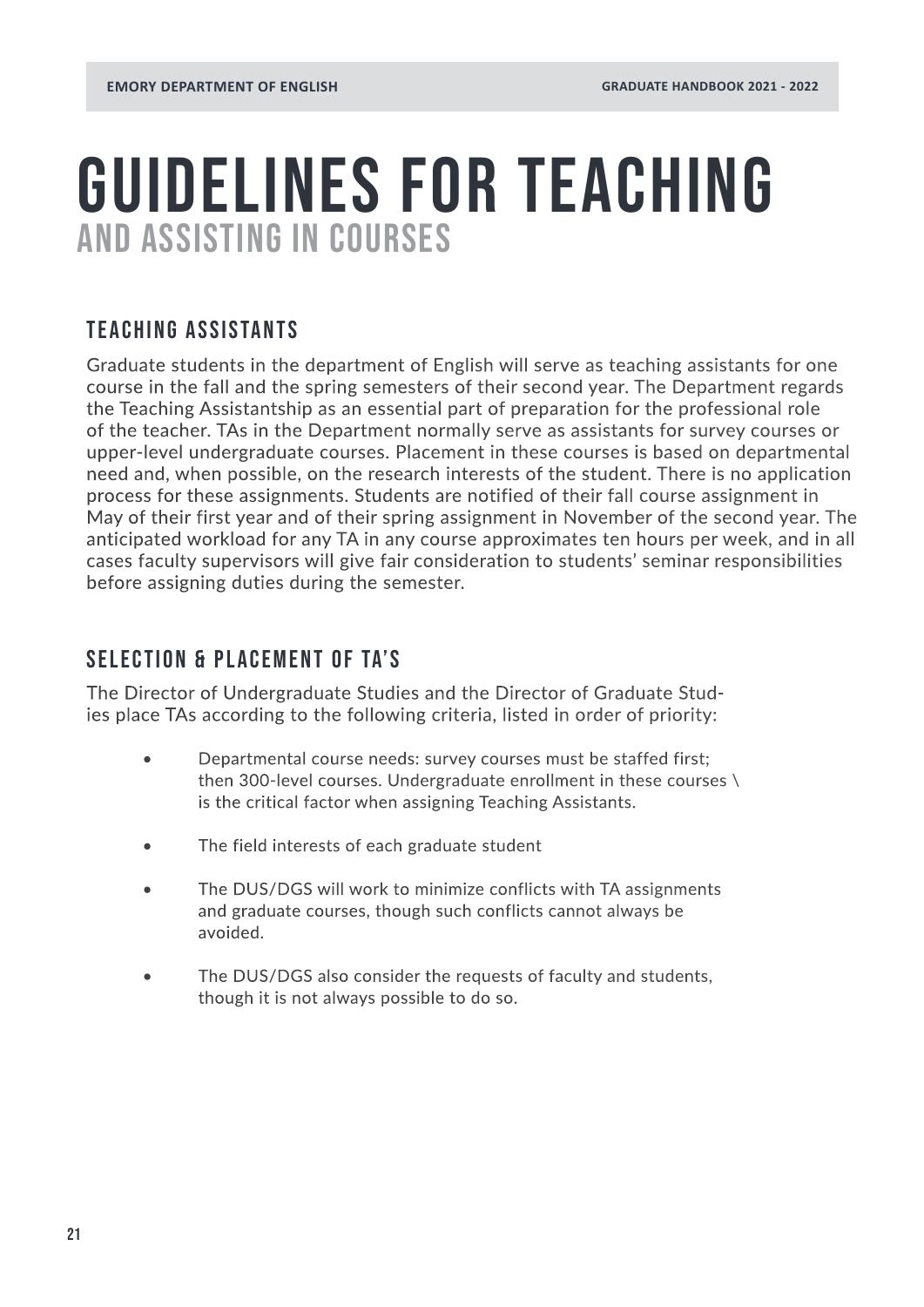### <span id="page-20-0"></span>AND ASSISTING IN COURSES GUIDELINES FOR TEACHING

### TEACHING ASSISTANTS

Graduate students in the department of English will serve as teaching assistants for one course in the fall and the spring semesters of their second year. The Department regards the Teaching Assistantship as an essential part of preparation for the professional role of the teacher. TAs in the Department normally serve as assistants for survey courses or upper-level undergraduate courses. Placement in these courses is based on departmental need and, when possible, on the research interests of the student. There is no application process for these assignments. Students are notified of their fall course assignment in May of their first year and of their spring assignment in November of the second year. The anticipated workload for any TA in any course approximates ten hours per week, and in all cases faculty supervisors will give fair consideration to students' seminar responsibilities before assigning duties during the semester.

### SELECTION & PLACEMENT OF TA'S

The Director of Undergraduate Studies and the Director of Graduate Studies place TAs according to the following criteria, listed in order of priority:

- Departmental course needs: survey courses must be staffed first; then 300-level courses. Undergraduate enrollment in these courses \ is the critical factor when assigning Teaching Assistants.
- The field interests of each graduate student
- The DUS/DGS will work to minimize conflicts with TA assignments and graduate courses, though such conflicts cannot always be avoided.
- The DUS/DGS also consider the requests of faculty and students, though it is not always possible to do so.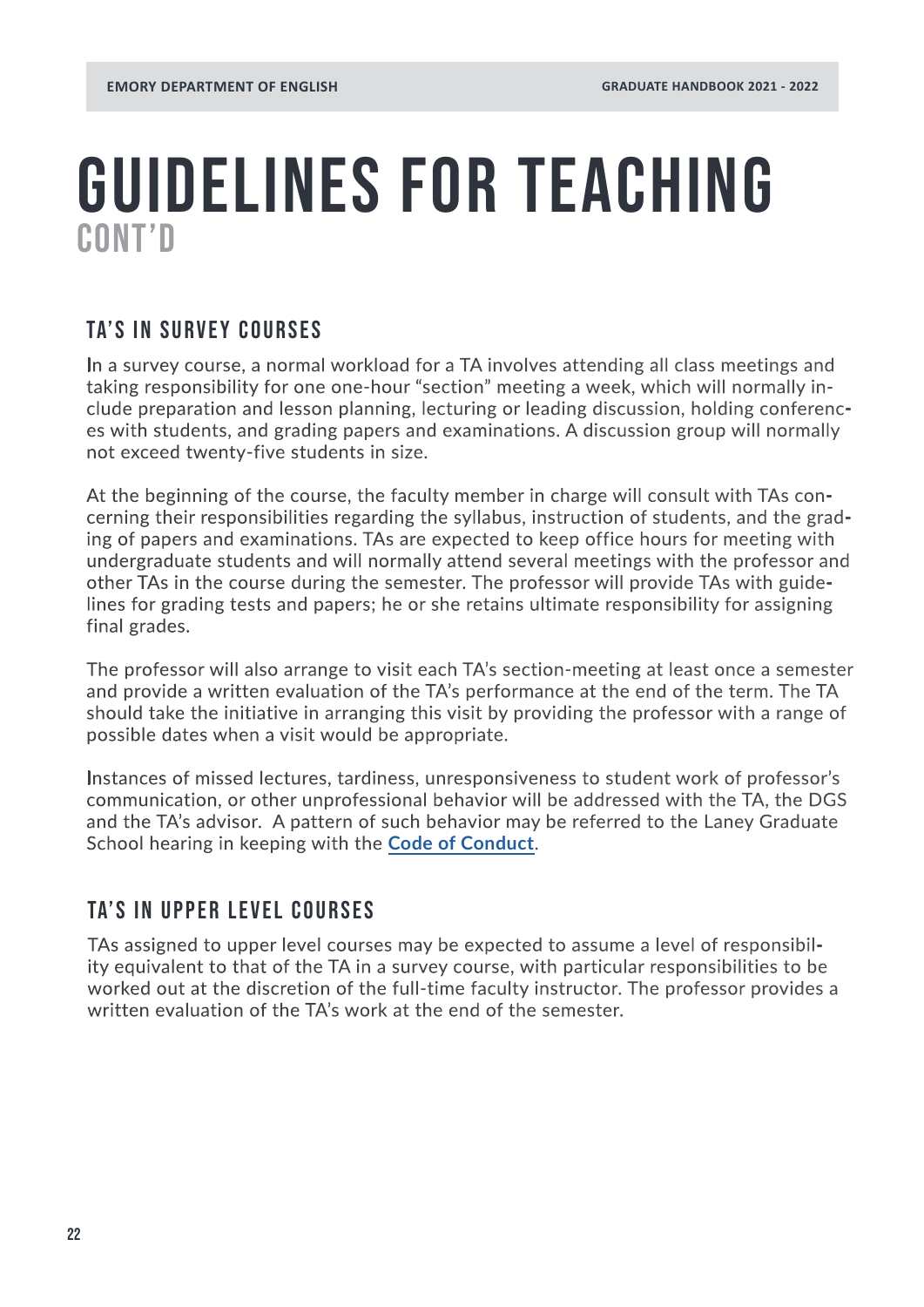### CONT'D GUIDELINES FOR TEACHING

### TA'S IN SURVEY COURSES

In a survey course, a normal workload for a TA involves attending all class meetings and taking responsibility for one one-hour "section" meeting a week, which will normally include preparation and lesson planning, lecturing or leading discussion, holding conferences with students, and grading papers and examinations. A discussion group will normally not exceed twenty-five students in size.

At the beginning of the course, the faculty member in charge will consult with TAs concerning their responsibilities regarding the syllabus, instruction of students, and the grading of papers and examinations. TAs are expected to keep office hours for meeting with undergraduate students and will normally attend several meetings with the professor and other TAs in the course during the semester. The professor will provide TAs with guidelines for grading tests and papers; he or she retains ultimate responsibility for assigning final grades.

The professor will also arrange to visit each TA's section-meeting at least once a semester and provide a written evaluation of the TA's performance at the end of the term. The TA should take the initiative in arranging this visit by providing the professor with a range of possible dates when a visit would be appropriate.

Instances of missed lectures, tardiness, unresponsiveness to student work of professor's communication, or other unprofessional behavior will be addressed with the TA, the DGS and the TA's advisor. A pattern of such behavior may be referred to the Laney Graduate School hearing in keeping with the **[Code of Conduct](https://gs.emory.edu/handbook/honor-conduct-grievance/conduct/index.html#seven)**.

### TA'S IN UPPER LEVEL COURSES

TAs assigned to upper level courses may be expected to assume a level of responsibility equivalent to that of the TA in a survey course, with particular responsibilities to be worked out at the discretion of the full-time faculty instructor. The professor provides a written evaluation of the TA's work at the end of the semester.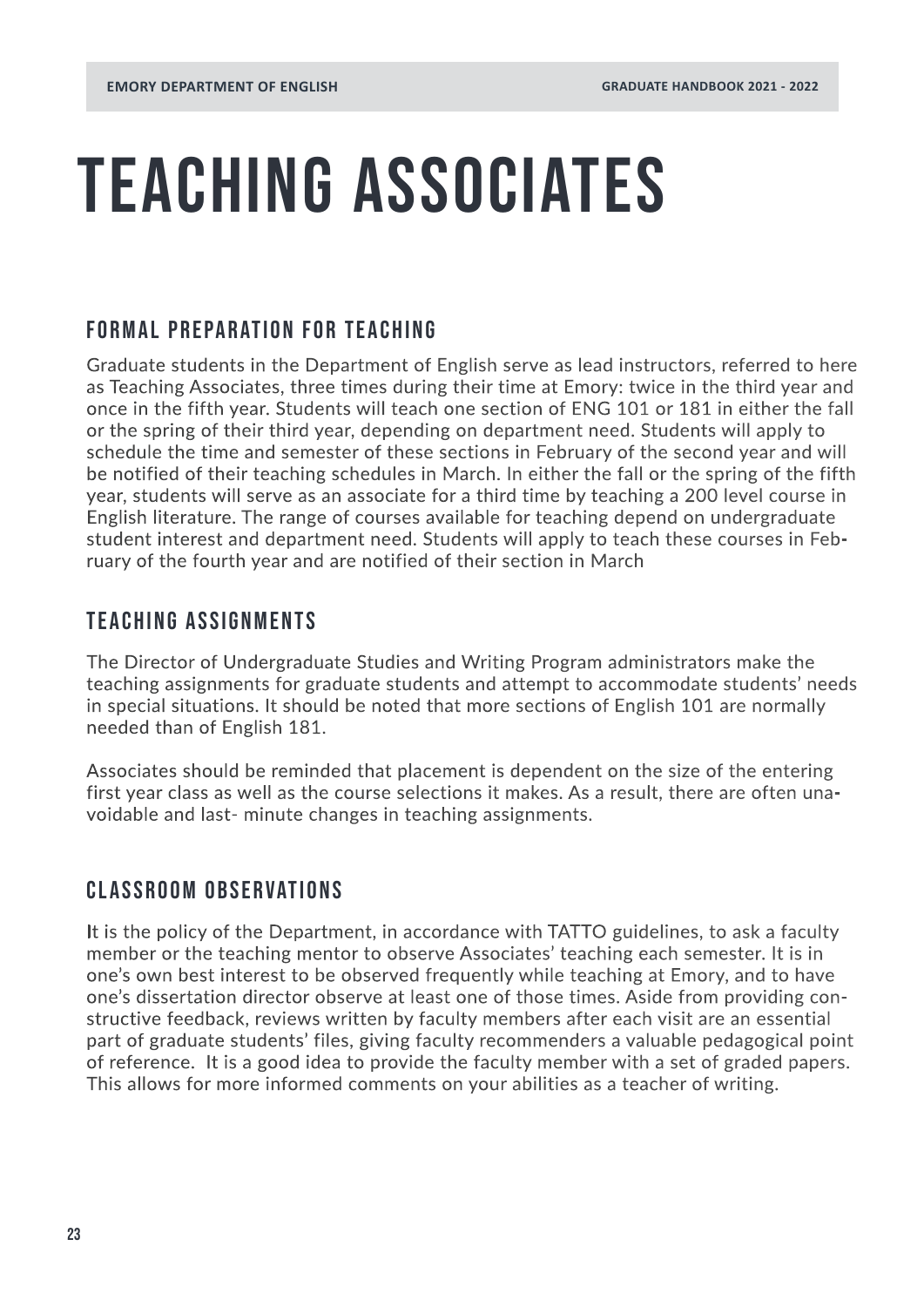## TEACHING ASSOCIATES

### FORMAL PREPARATION FOR TEACHING

Graduate students in the Department of English serve as lead instructors, referred to here as Teaching Associates, three times during their time at Emory: twice in the third year and once in the fifth year. Students will teach one section of ENG 101 or 181 in either the fall or the spring of their third year, depending on department need. Students will apply to schedule the time and semester of these sections in February of the second year and will be notified of their teaching schedules in March. In either the fall or the spring of the fifth year, students will serve as an associate for a third time by teaching a 200 level course in English literature. The range of courses available for teaching depend on undergraduate student interest and department need. Students will apply to teach these courses in February of the fourth year and are notified of their section in March

### TEACHING ASSIGNMENTS

The Director of Undergraduate Studies and Writing Program administrators make the teaching assignments for graduate students and attempt to accommodate students' needs in special situations. It should be noted that more sections of English 101 are normally needed than of English 181.

Associates should be reminded that placement is dependent on the size of the entering first year class as well as the course selections it makes. As a result, there are often unavoidable and last- minute changes in teaching assignments.

### CLASSROOM OBSERVATIONS

It is the policy of the Department, in accordance with TATTO guidelines, to ask a faculty member or the teaching mentor to observe Associates' teaching each semester. It is in one's own best interest to be observed frequently while teaching at Emory, and to have one's dissertation director observe at least one of those times. Aside from providing constructive feedback, reviews written by faculty members after each visit are an essential part of graduate students' files, giving faculty recommenders a valuable pedagogical point of reference. It is a good idea to provide the faculty member with a set of graded papers. This allows for more informed comments on your abilities as a teacher of writing.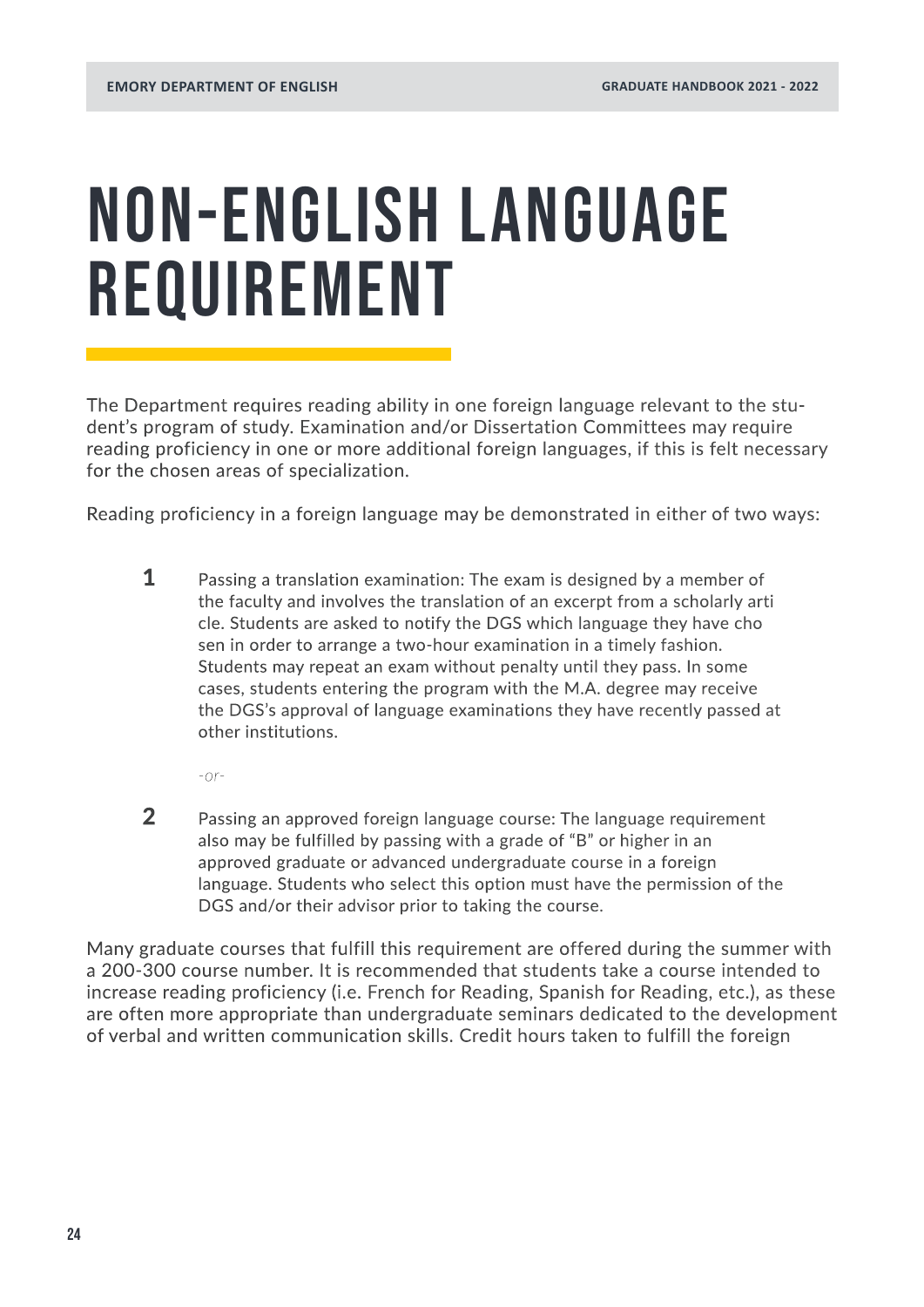## <span id="page-23-0"></span>NON-ENGLISH LANGUAGE REQUIREMENT

The Department requires reading ability in one foreign language relevant to the student's program of study. Examination and/or Dissertation Committees may require reading proficiency in one or more additional foreign languages, if this is felt necessary for the chosen areas of specialization.

Reading proficiency in a foreign language may be demonstrated in either of two ways:

**1** Passing a translation examination: The exam is designed by a member of the faculty and involves the translation of an excerpt from a scholarly arti cle. Students are asked to notify the DGS which language they have cho sen in order to arrange a two-hour examination in a timely fashion. Students may repeat an exam without penalty until they pass. In some cases, students entering the program with the M.A. degree may receive the DGS's approval of language examinations they have recently passed at other institutions.

*-or-*

2 Passing an approved foreign language course: The language requirement also may be fulfilled by passing with a grade of "B" or higher in an approved graduate or advanced undergraduate course in a foreign language. Students who select this option must have the permission of the DGS and/or their advisor prior to taking the course.

Many graduate courses that fulfill this requirement are offered during the summer with a 200-300 course number. It is recommended that students take a course intended to increase reading proficiency (i.e. French for Reading, Spanish for Reading, etc.), as these are often more appropriate than undergraduate seminars dedicated to the development of verbal and written communication skills. Credit hours taken to fulfill the foreign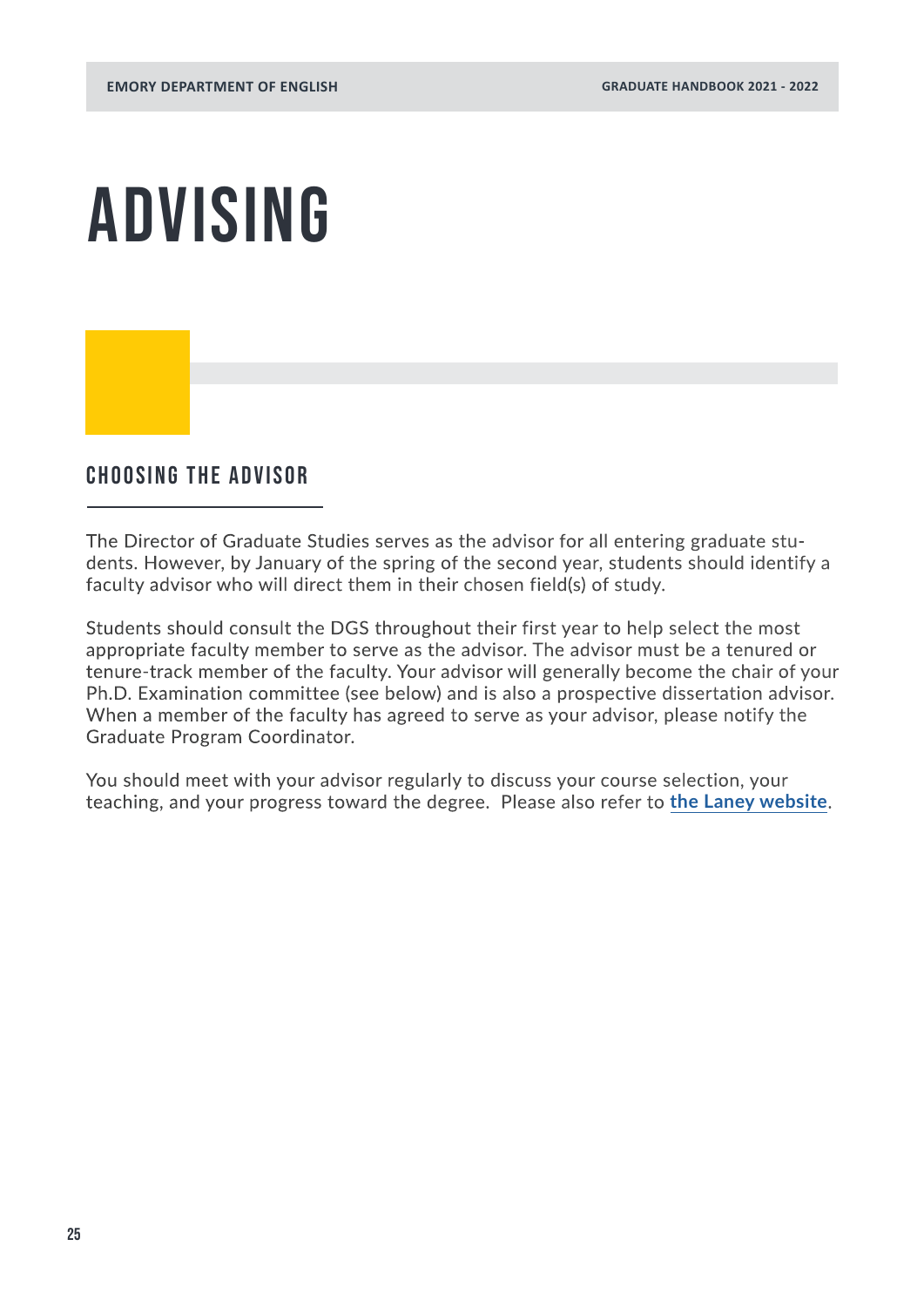## <span id="page-24-0"></span>ADVISING

### Choosing the advisor

The Director of Graduate Studies serves as the advisor for all entering graduate students. However, by January of the spring of the second year, students should identify a faculty advisor who will direct them in their chosen field(s) of study.

Students should consult the DGS throughout their first year to help select the most appropriate faculty member to serve as the advisor. The advisor must be a tenured or tenure-track member of the faculty. Your advisor will generally become the chair of your Ph.D. Examination committee (see below) and is also a prospective dissertation advisor. When a member of the faculty has agreed to serve as your advisor, please notify the Graduate Program Coordinator.

You should meet with your advisor regularly to discuss your course selection, your teaching, and your progress toward the degree. Please also refer to **[the Laney website](https://www.gs.emory.edu/professional-development/mentoring.html)**.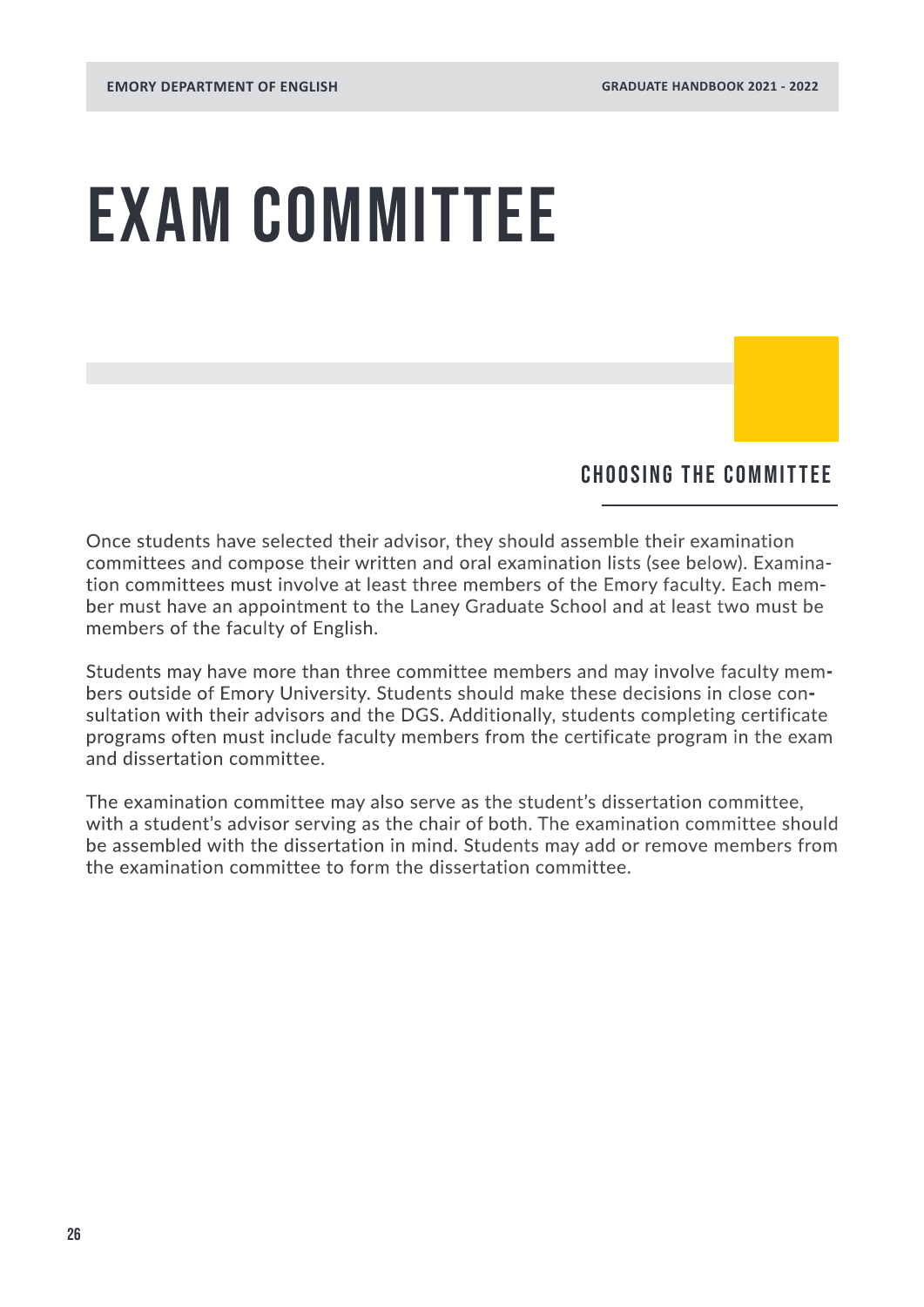## EXAM COMMITTEE

### Choosing the Committee

Once students have selected their advisor, they should assemble their examination committees and compose their written and oral examination lists (see below). Examination committees must involve at least three members of the Emory faculty. Each member must have an appointment to the Laney Graduate School and at least two must be members of the faculty of English.

Students may have more than three committee members and may involve faculty members outside of Emory University. Students should make these decisions in close consultation with their advisors and the DGS. Additionally, students completing certificate programs often must include faculty members from the certificate program in the exam and dissertation committee.

The examination committee may also serve as the student's dissertation committee, with a student's advisor serving as the chair of both. The examination committee should be assembled with the dissertation in mind. Students may add or remove members from the examination committee to form the dissertation committee.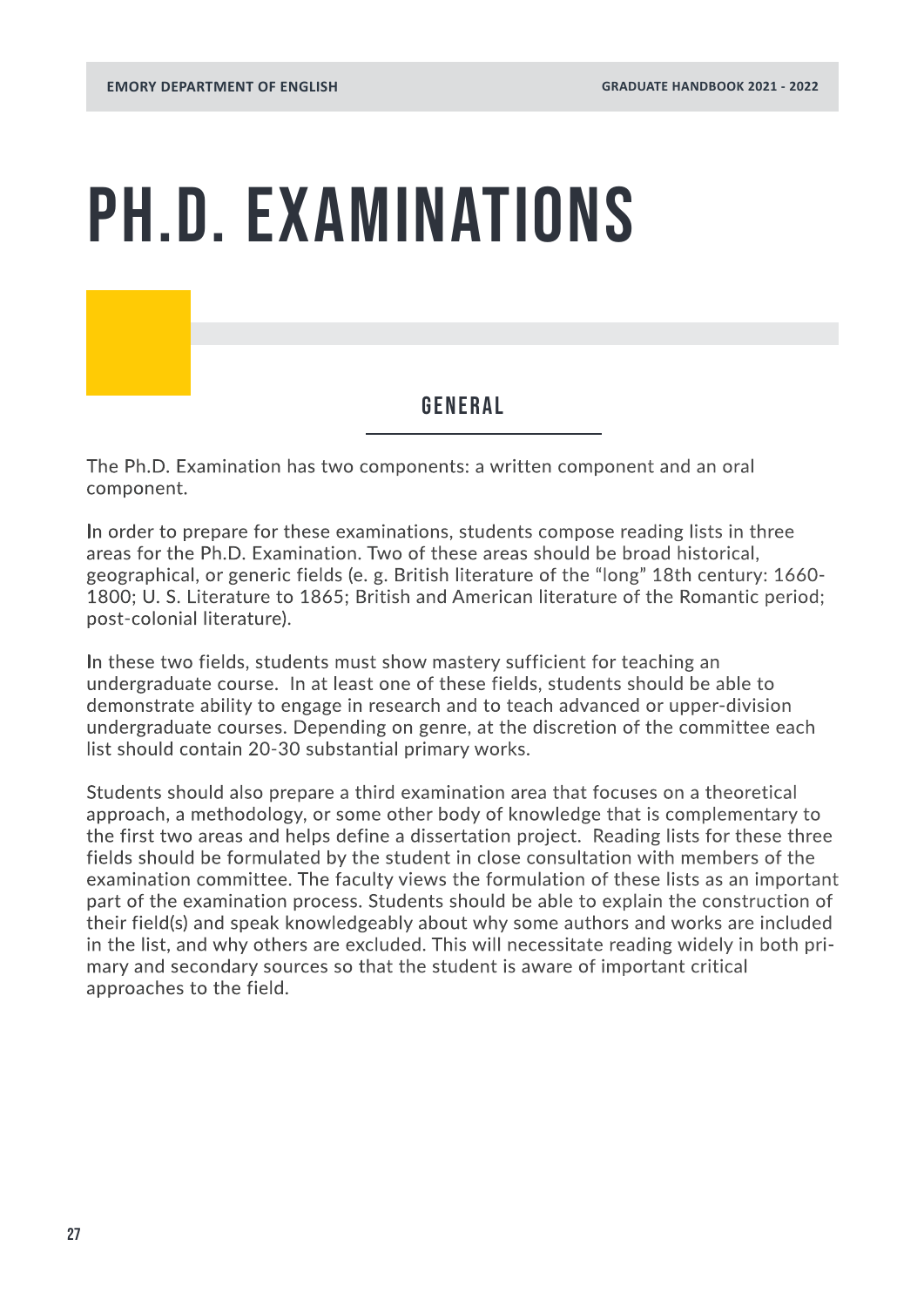## PH.D. EXAMINATIONS

### GENERAL

The Ph.D. Examination has two components: a written component and an oral component.

In order to prepare for these examinations, students compose reading lists in three areas for the Ph.D. Examination. Two of these areas should be broad historical, geographical, or generic fields (e. g. British literature of the "long" 18th century: 1660- 1800; U. S. Literature to 1865; British and American literature of the Romantic period; post-colonial literature).

In these two fields, students must show mastery sufficient for teaching an undergraduate course. In at least one of these fields, students should be able to demonstrate ability to engage in research and to teach advanced or upper-division undergraduate courses. Depending on genre, at the discretion of the committee each list should contain 20-30 substantial primary works.

Students should also prepare a third examination area that focuses on a theoretical approach, a methodology, or some other body of knowledge that is complementary to the first two areas and helps define a dissertation project. Reading lists for these three fields should be formulated by the student in close consultation with members of the examination committee. The faculty views the formulation of these lists as an important part of the examination process. Students should be able to explain the construction of their field(s) and speak knowledgeably about why some authors and works are included in the list, and why others are excluded. This will necessitate reading widely in both primary and secondary sources so that the student is aware of important critical approaches to the field.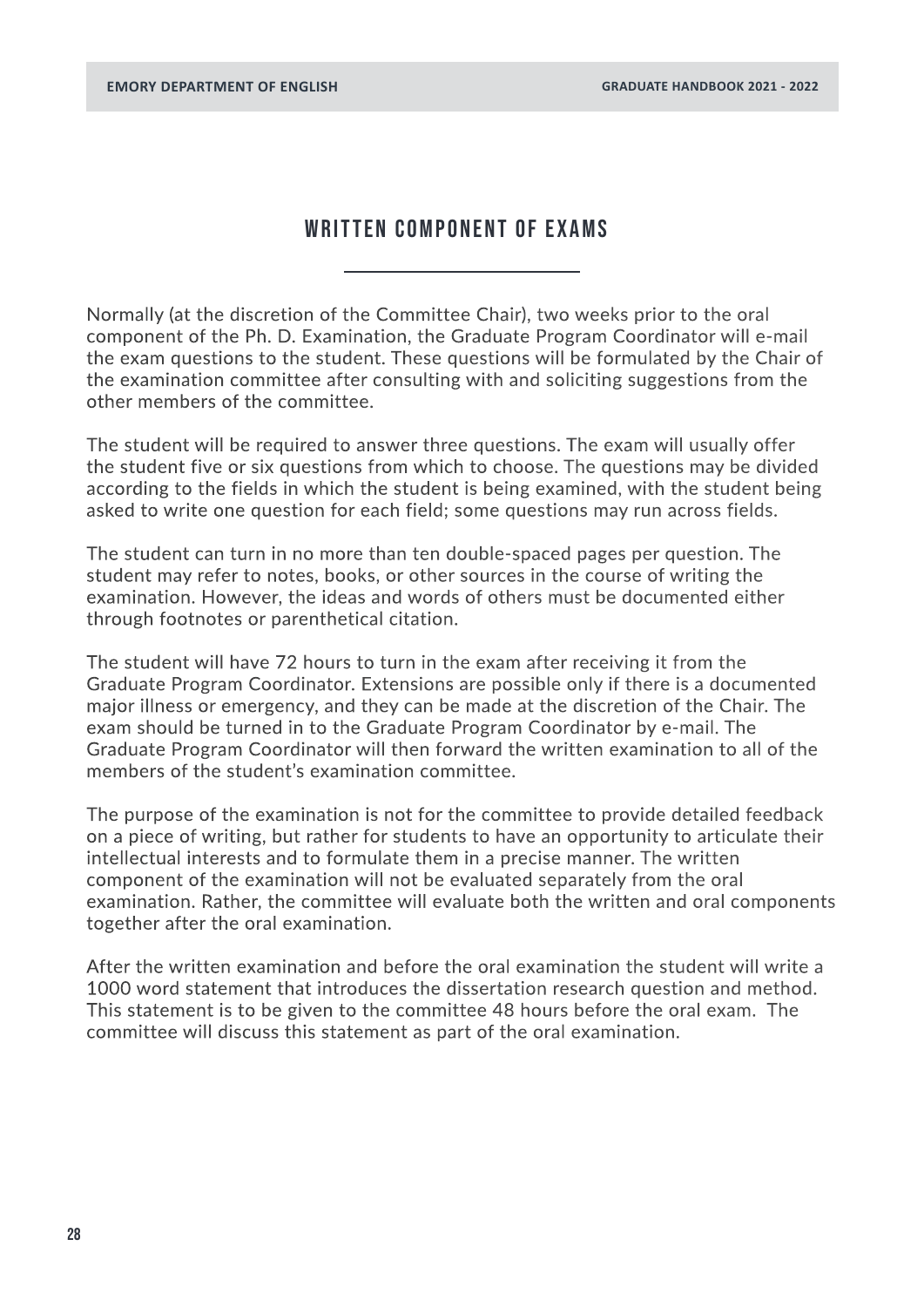### WRITTEN COMPONENT OF EXAMS

Normally (at the discretion of the Committee Chair), two weeks prior to the oral component of the Ph. D. Examination, the Graduate Program Coordinator will e-mail the exam questions to the student. These questions will be formulated by the Chair of the examination committee after consulting with and soliciting suggestions from the other members of the committee.

The student will be required to answer three questions. The exam will usually offer the student five or six questions from which to choose. The questions may be divided according to the fields in which the student is being examined, with the student being asked to write one question for each field; some questions may run across fields.

The student can turn in no more than ten double-spaced pages per question. The student may refer to notes, books, or other sources in the course of writing the examination. However, the ideas and words of others must be documented either through footnotes or parenthetical citation.

The student will have 72 hours to turn in the exam after receiving it from the Graduate Program Coordinator. Extensions are possible only if there is a documented major illness or emergency, and they can be made at the discretion of the Chair. The exam should be turned in to the Graduate Program Coordinator by e-mail. The Graduate Program Coordinator will then forward the written examination to all of the members of the student's examination committee.

The purpose of the examination is not for the committee to provide detailed feedback on a piece of writing, but rather for students to have an opportunity to articulate their intellectual interests and to formulate them in a precise manner. The written component of the examination will not be evaluated separately from the oral examination. Rather, the committee will evaluate both the written and oral components together after the oral examination.

After the written examination and before the oral examination the student will write a 1000 word statement that introduces the dissertation research question and method. This statement is to be given to the committee 48 hours before the oral exam. The committee will discuss this statement as part of the oral examination.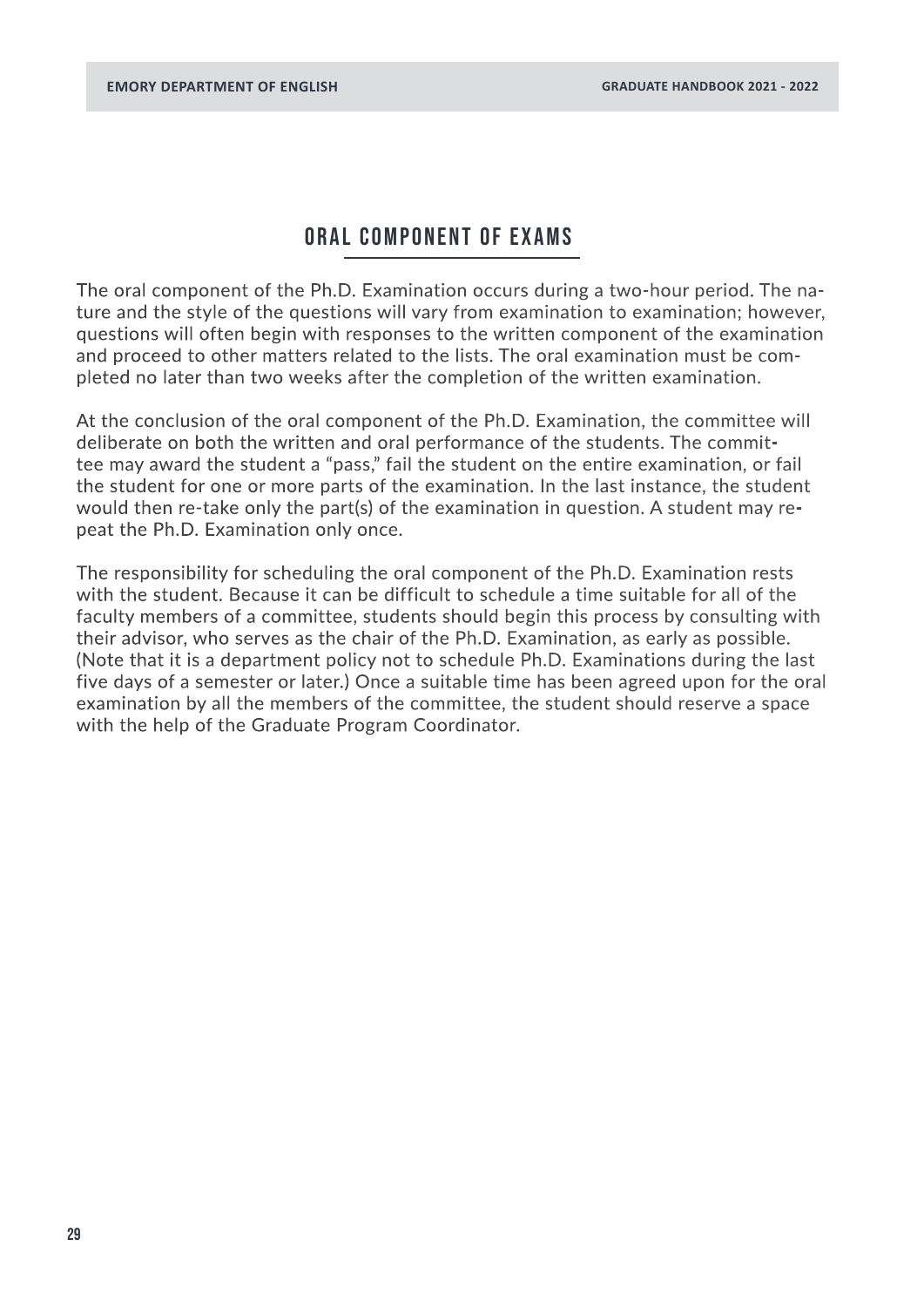### ORAL COMPONENT of exams

The oral component of the Ph.D. Examination occurs during a two-hour period. The nature and the style of the questions will vary from examination to examination; however, questions will often begin with responses to the written component of the examination and proceed to other matters related to the lists. The oral examination must be completed no later than two weeks after the completion of the written examination.

At the conclusion of the oral component of the Ph.D. Examination, the committee will deliberate on both the written and oral performance of the students. The committee may award the student a "pass," fail the student on the entire examination, or fail the student for one or more parts of the examination. In the last instance, the student would then re-take only the part(s) of the examination in question. A student may repeat the Ph.D. Examination only once.

The responsibility for scheduling the oral component of the Ph.D. Examination rests with the student. Because it can be difficult to schedule a time suitable for all of the faculty members of a committee, students should begin this process by consulting with their advisor, who serves as the chair of the Ph.D. Examination, as early as possible. (Note that it is a department policy not to schedule Ph.D. Examinations during the last five days of a semester or later.) Once a suitable time has been agreed upon for the oral examination by all the members of the committee, the student should reserve a space with the help of the Graduate Program Coordinator.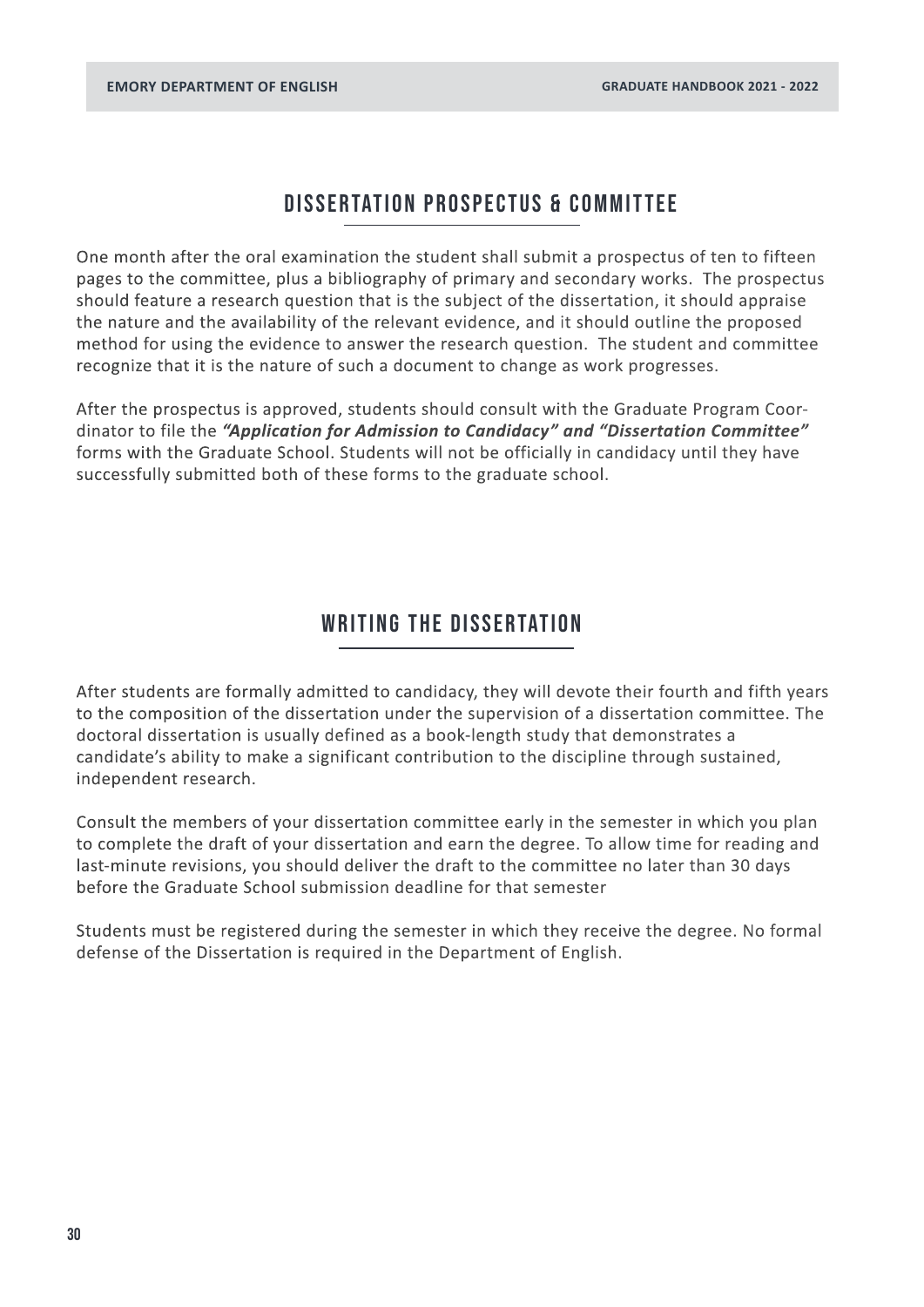### DISSERTATION PROSPECTUS & COMMITTEE

<span id="page-29-0"></span>One month after the oral examination the student shall submit a prospectus of ten to fifteen pages to the committee, plus a bibliography of primary and secondary works. The prospectus should feature a research question that is the subject of the dissertation, it should appraise the nature and the availability of the relevant evidence, and it should outline the proposed method for using the evidence to answer the research question. The student and committee recognize that it is the nature of such a document to change as work progresses.

After the prospectus is approved, students should consult with the Graduate Program Coordinator to file the *"Application for Admission to Candidacy" and "Dissertation Committee"*  forms with the Graduate School. Students will not be officially in candidacy until they have successfully submitted both of these forms to the graduate school.

### WRITING THE DISSERTATION

After students are formally admitted to candidacy, they will devote their fourth and fifth years to the composition of the dissertation under the supervision of a dissertation committee. The doctoral dissertation is usually defined as a book-length study that demonstrates a candidate's ability to make a significant contribution to the discipline through sustained, independent research.

Consult the members of your dissertation committee early in the semester in which you plan to complete the draft of your dissertation and earn the degree. To allow time for reading and last-minute revisions, you should deliver the draft to the committee no later than 30 days before the Graduate School submission deadline for that semester

Students must be registered during the semester in which they receive the degree. No formal defense of the Dissertation is required in the Department of English.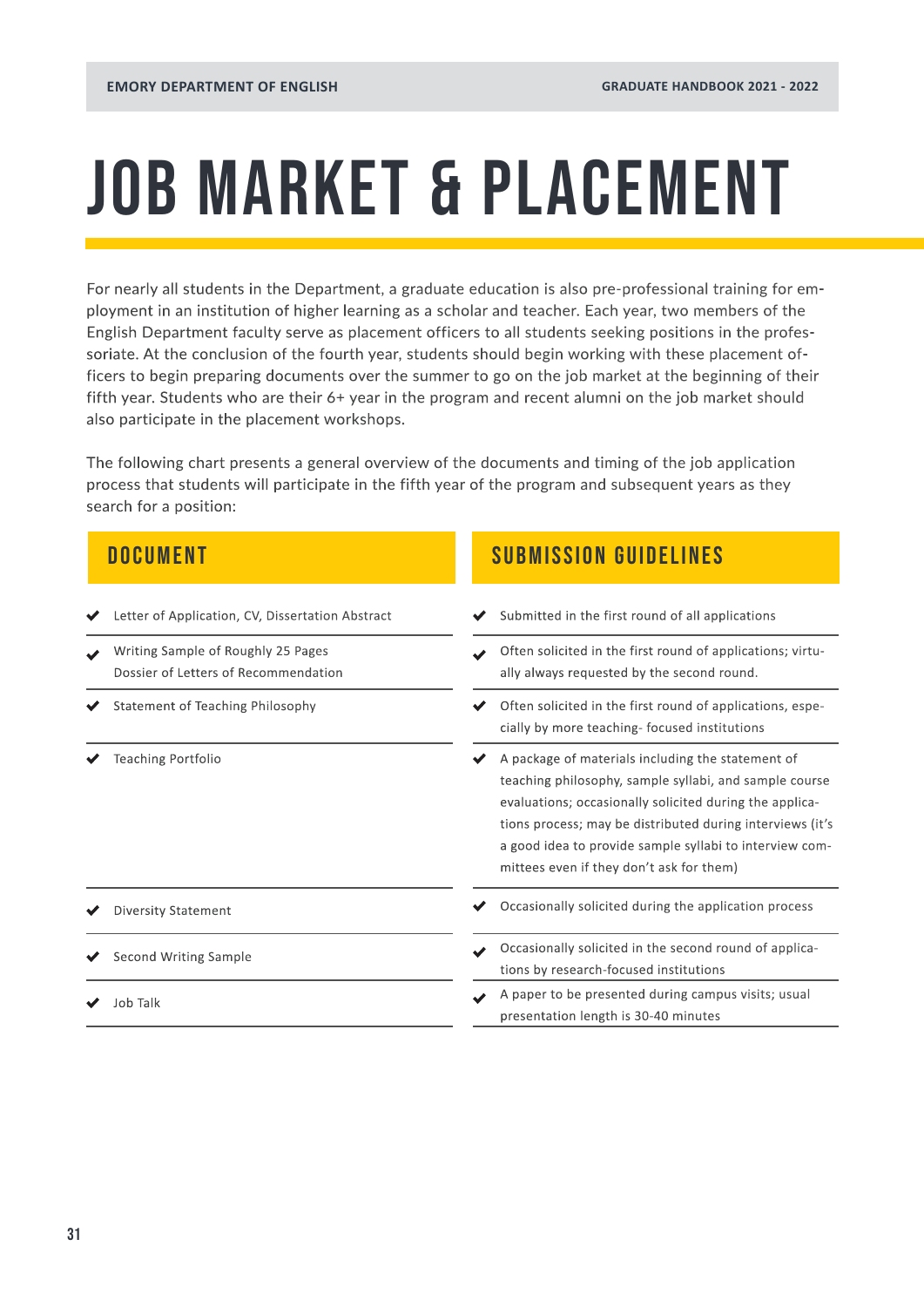## <span id="page-30-0"></span>JOB MARKET & PLACEMENT

For nearly all students in the Department, a graduate education is also pre-professional training for employment in an institution of higher learning as a scholar and teacher. Each year, two members of the English Department faculty serve as placement officers to all students seeking positions in the professoriate. At the conclusion of the fourth year, students should begin working with these placement officers to begin preparing documents over the summer to go on the job market at the beginning of their fifth year. Students who are their 6+ year in the program and recent alumni on the job market should also participate in the placement workshops.

The following chart presents a general overview of the documents and timing of the job application process that students will participate in the fifth year of the program and subsequent years as they search for a position:

- ◆ Letter of Application, CV, Dissertation Abstract
- Writing Sample of Roughly 25 Pages Dossier of Letters of Recommendation
- $\blacktriangleright$  Statement of Teaching Philosophy
- Teaching Portfolio

- ◆ Diversity Statement
- $\blacktriangleright$  Second Writing Sample
- 

### **DOCUMENT SUBMISSION GUIDELINES**

| Letter of Application, CV, Dissertation Abstract                           | Submitted in the first round of all applications                                                                                                                                                                                                                                                                                           |  |  |
|----------------------------------------------------------------------------|--------------------------------------------------------------------------------------------------------------------------------------------------------------------------------------------------------------------------------------------------------------------------------------------------------------------------------------------|--|--|
| Writing Sample of Roughly 25 Pages<br>Dossier of Letters of Recommendation | Often solicited in the first round of applications; virtu-<br>ally always requested by the second round.<br>Often solicited in the first round of applications, espe-<br>cially by more teaching-focused institutions                                                                                                                      |  |  |
| Statement of Teaching Philosophy                                           |                                                                                                                                                                                                                                                                                                                                            |  |  |
| Teaching Portfolio                                                         | A package of materials including the statement of<br>teaching philosophy, sample syllabi, and sample course<br>evaluations; occasionally solicited during the applica-<br>tions process; may be distributed during interviews (it's<br>a good idea to provide sample syllabi to interview com-<br>mittees even if they don't ask for them) |  |  |
| <b>Diversity Statement</b>                                                 | Occasionally solicited during the application process                                                                                                                                                                                                                                                                                      |  |  |
| Second Writing Sample                                                      | Occasionally solicited in the second round of applica-<br>tions by research-focused institutions                                                                                                                                                                                                                                           |  |  |
| Job Talk                                                                   | A paper to be presented during campus visits; usual<br>presentation length is 30-40 minutes                                                                                                                                                                                                                                                |  |  |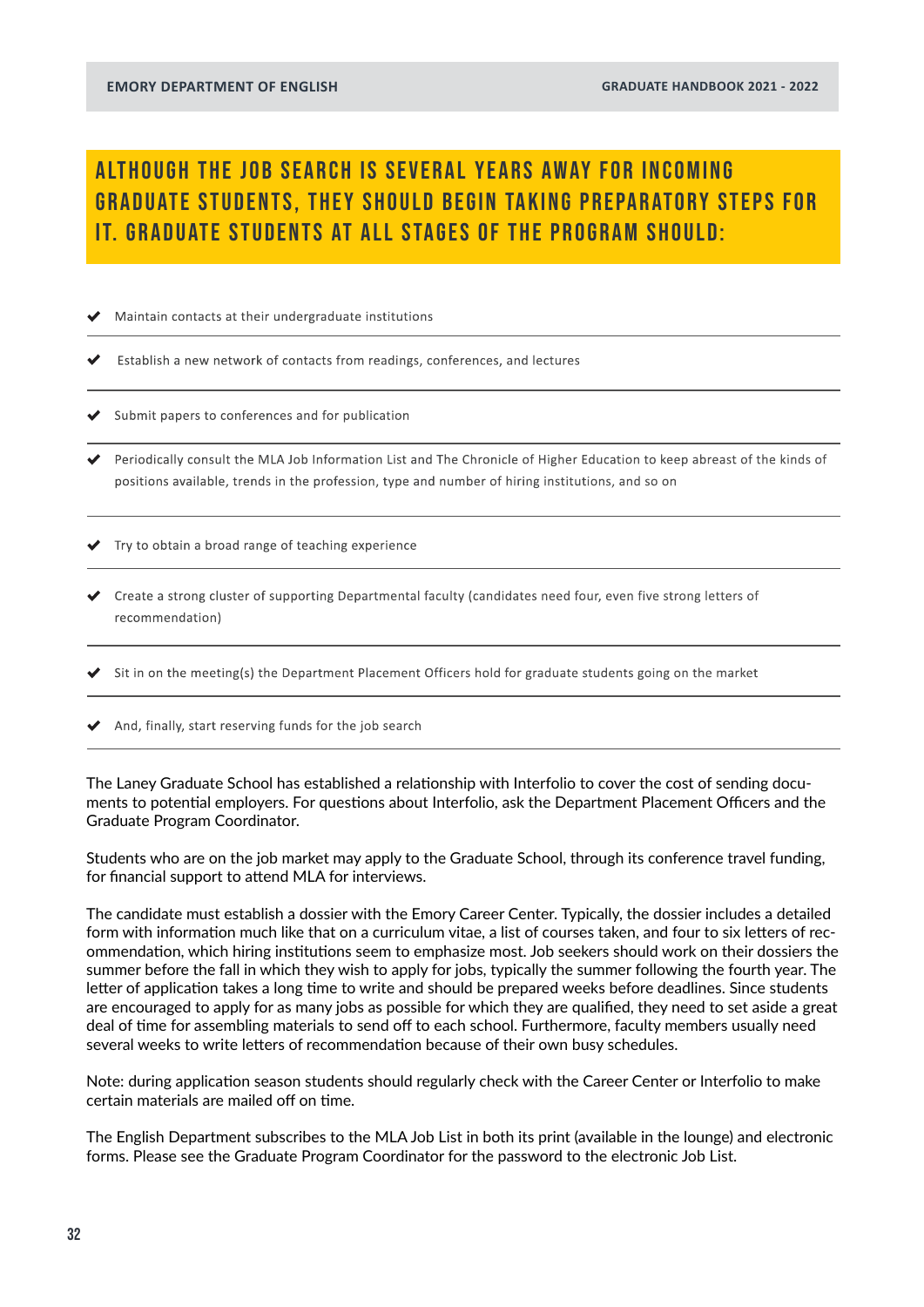### ALTHOUGH THE JOB SEARCH IS SEVERAL YEARS AWAY FOR INCOMING **GRADUATE STUDENTS. THEY SHOULD BEGIN TAKING PREPARATORY STEPS FOR** it. Graduate students at all stages of the program should:

Maintain contacts at their undergraduate institutions

Establish a new network of contacts from readings, conferences, and lectures

Submit papers to conferences and for publication

Periodically consult the MLA Job Information List and The Chronicle of Higher Education to keep abreast of the kinds of positions available, trends in the profession, type and number of hiring institutions, and so on

 $\blacktriangleright$  Try to obtain a broad range of teaching experience

Create a strong cluster of supporting Departmental faculty (candidates need four, even five strong letters of recommendation)

Sit in on the meeting(s) the Department Placement Officers hold for graduate students going on the market

 $\blacklozenge$  And, finally, start reserving funds for the job search

The Laney Graduate School has established a relationship with Interfolio to cover the cost of sending documents to potential employers. For questions about Interfolio, ask the Department Placement Officers and the Graduate Program Coordinator.

Students who are on the job market may apply to the Graduate School, through its conference travel funding, for financial support to attend MLA for interviews.

The candidate must establish a dossier with the Emory Career Center. Typically, the dossier includes a detailed form with information much like that on a curriculum vitae, a list of courses taken, and four to six letters of recommendation, which hiring institutions seem to emphasize most. Job seekers should work on their dossiers the summer before the fall in which they wish to apply for jobs, typically the summer following the fourth year. The letter of application takes a long time to write and should be prepared weeks before deadlines. Since students are encouraged to apply for as many jobs as possible for which they are qualified, they need to set aside a great deal of time for assembling materials to send off to each school. Furthermore, faculty members usually need several weeks to write letters of recommendation because of their own busy schedules.

Note: during application season students should regularly check with the Career Center or Interfolio to make certain materials are mailed off on time.

The English Department subscribes to the MLA Job List in both its print (available in the lounge) and electronic forms. Please see the Graduate Program Coordinator for the password to the electronic Job List.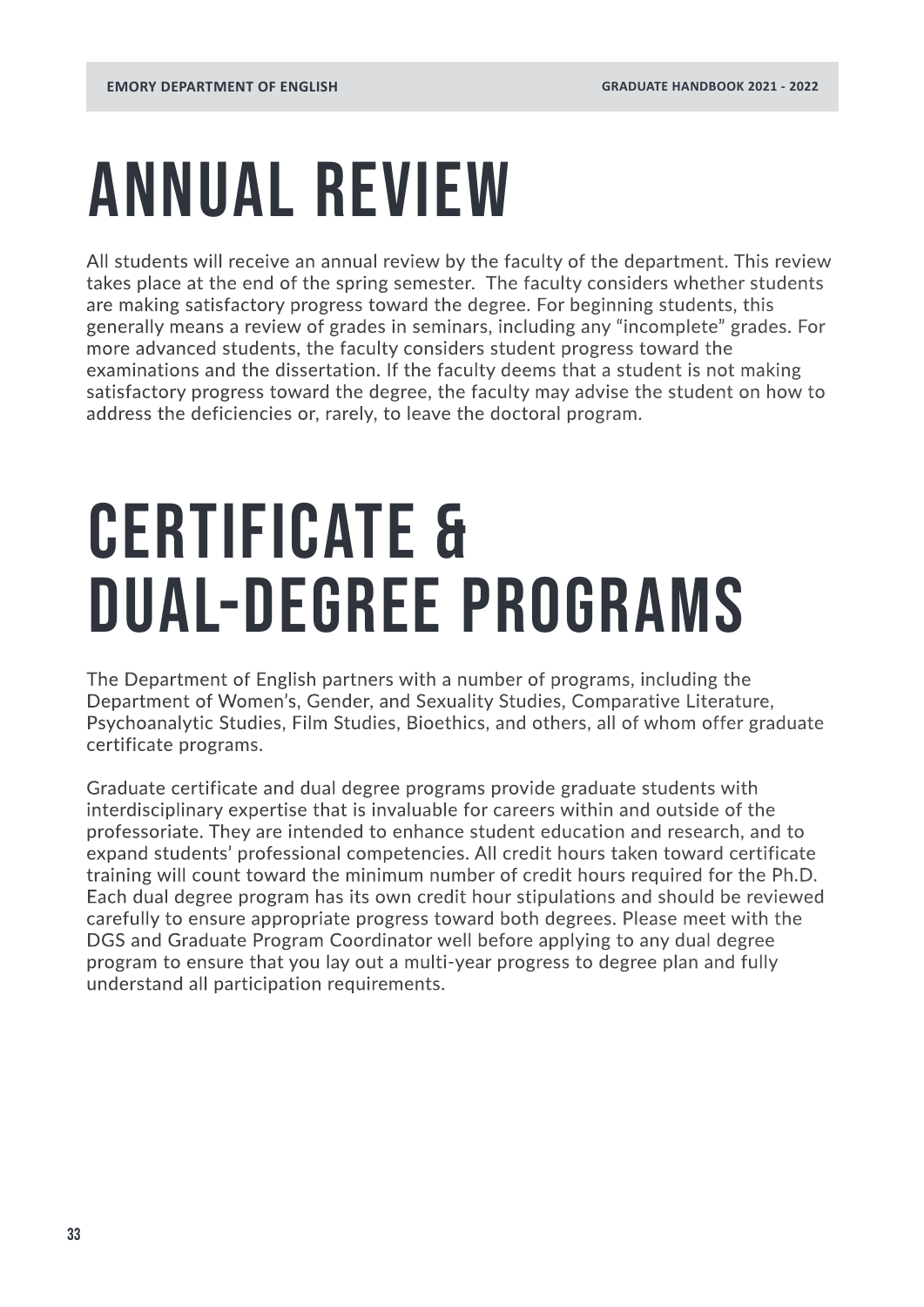## <span id="page-32-0"></span>ANNUAL REVIEW

All students will receive an annual review by the faculty of the department. This review takes place at the end of the spring semester. The faculty considers whether students are making satisfactory progress toward the degree. For beginning students, this generally means a review of grades in seminars, including any "incomplete" grades. For more advanced students, the faculty considers student progress toward the examinations and the dissertation. If the faculty deems that a student is not making satisfactory progress toward the degree, the faculty may advise the student on how to address the deficiencies or, rarely, to leave the doctoral program.

## Certificate & Dual-Degree Programs

The Department of English partners with a number of programs, including the Department of Women's, Gender, and Sexuality Studies, Comparative Literature, Psychoanalytic Studies, Film Studies, Bioethics, and others, all of whom offer graduate certificate programs.

Graduate certificate and dual degree programs provide graduate students with interdisciplinary expertise that is invaluable for careers within and outside of the professoriate. They are intended to enhance student education and research, and to expand students' professional competencies. All credit hours taken toward certificate training will count toward the minimum number of credit hours required for the Ph.D. Each dual degree program has its own credit hour stipulations and should be reviewed carefully to ensure appropriate progress toward both degrees. Please meet with the DGS and Graduate Program Coordinator well before applying to any dual degree program to ensure that you lay out a multi-year progress to degree plan and fully understand all participation requirements.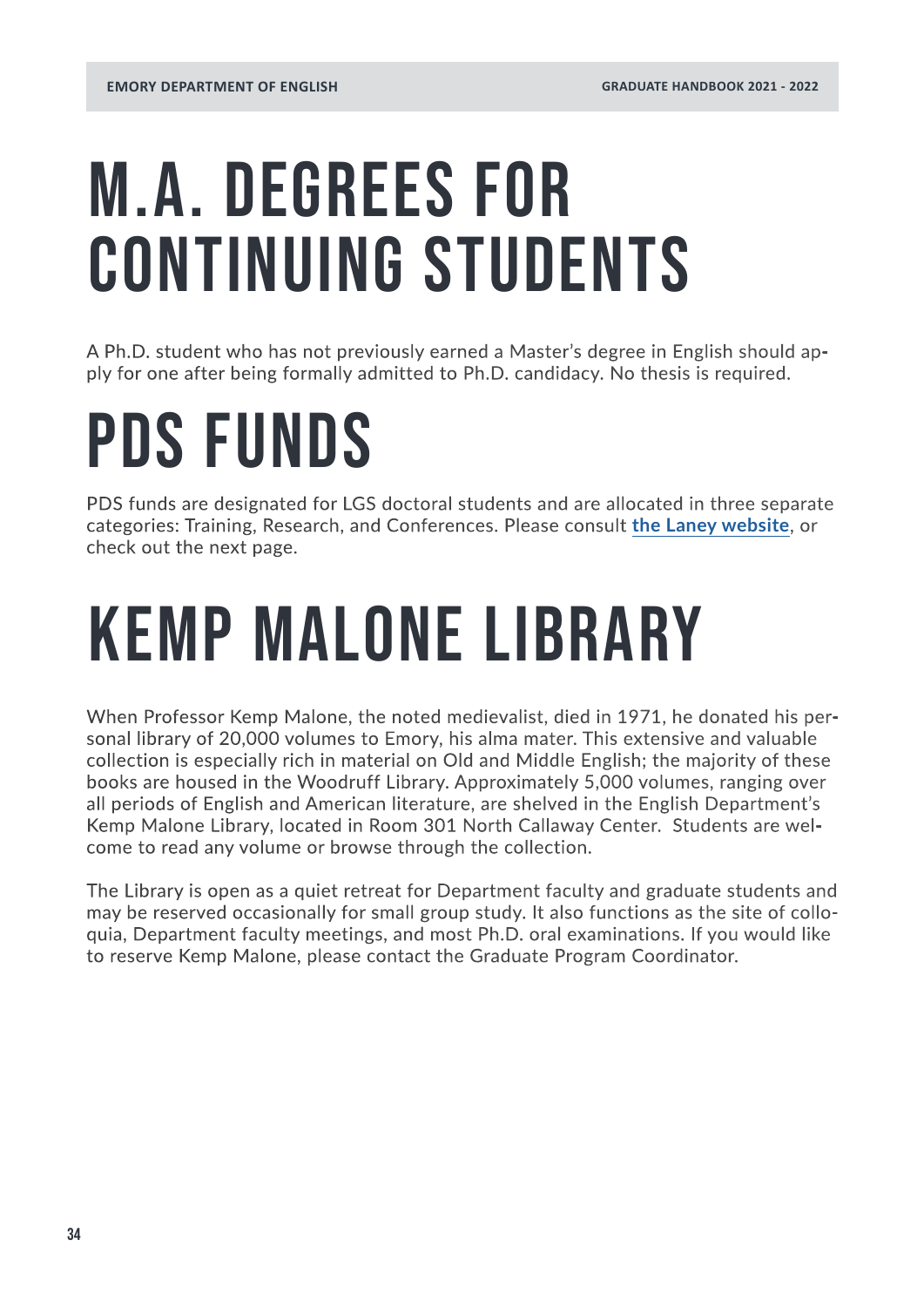## M.A. Degrees for CONTINUING STUDENTS

A Ph.D. student who has not previously earned a Master's degree in English should apply for one after being formally admitted to Ph.D. candidacy. No thesis is required.

## PDS FUNDS

PDS funds are designated for LGS doctoral students and are allocated in three separate categories: Training, Research, and Conferences. Please consult **[the Laney website](https://www.gs.emory.edu/professional-development/pds/index.html)**, or check out the next page.

## KEMP MALONE LIBRARY

When Professor Kemp Malone, the noted medievalist, died in 1971, he donated his personal library of 20,000 volumes to Emory, his alma mater. This extensive and valuable collection is especially rich in material on Old and Middle English; the majority of these books are housed in the Woodruff Library. Approximately 5,000 volumes, ranging over all periods of English and American literature, are shelved in the English Department's Kemp Malone Library, located in Room 301 North Callaway Center. Students are welcome to read any volume or browse through the collection.

The Library is open as a quiet retreat for Department faculty and graduate students and may be reserved occasionally for small group study. It also functions as the site of colloquia, Department faculty meetings, and most Ph.D. oral examinations. If you would like to reserve Kemp Malone, please contact the Graduate Program Coordinator.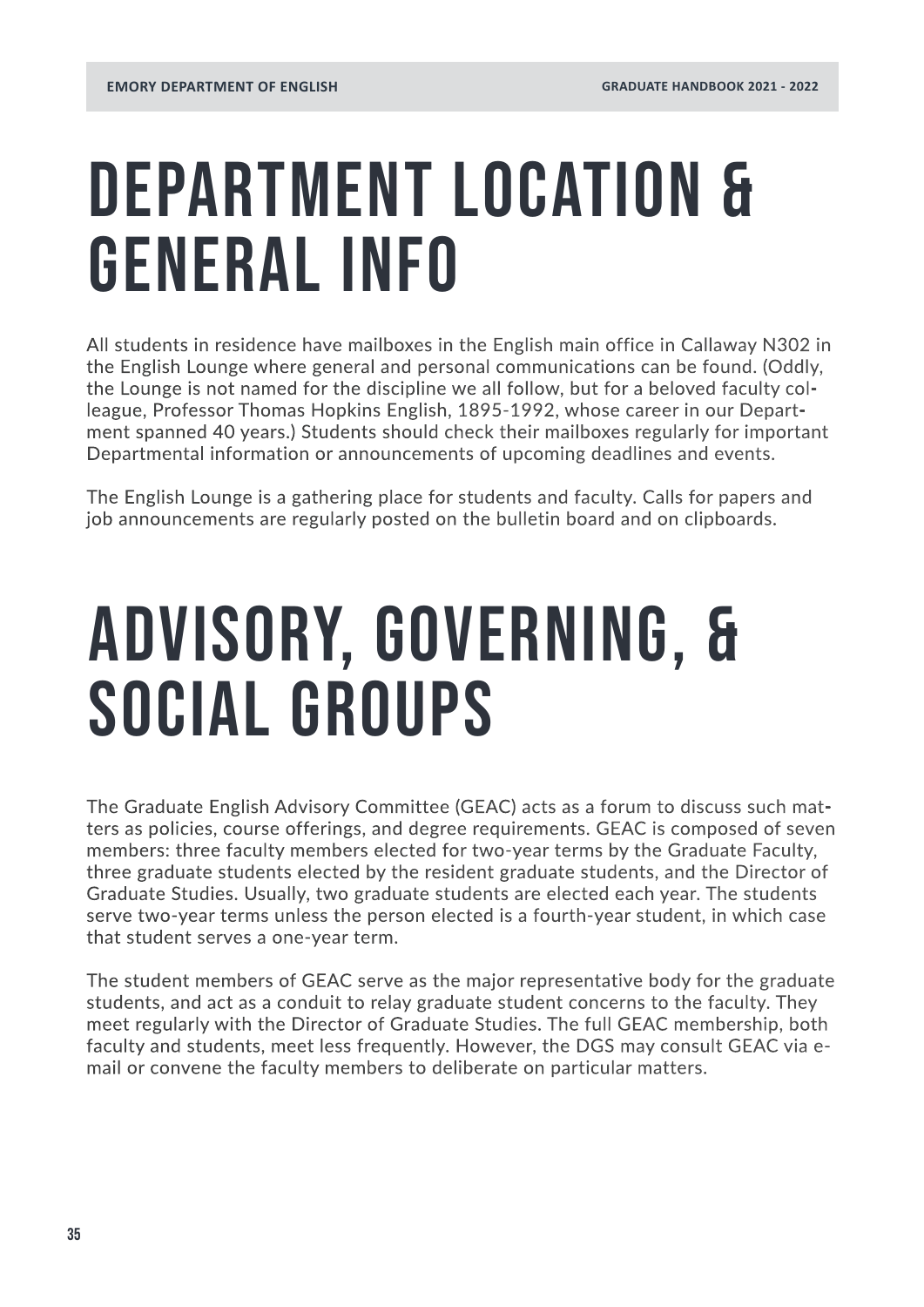## DEPARTMENT LOCATION & GENERAL INFO

All students in residence have mailboxes in the English main office in Callaway N302 in the English Lounge where general and personal communications can be found. (Oddly, the Lounge is not named for the discipline we all follow, but for a beloved faculty colleague, Professor Thomas Hopkins English, 1895-1992, whose career in our Department spanned 40 years.) Students should check their mailboxes regularly for important Departmental information or announcements of upcoming deadlines and events.

The English Lounge is a gathering place for students and faculty. Calls for papers and job announcements are regularly posted on the bulletin board and on clipboards.

## Advisory, Governing, & Social Groups

The Graduate English Advisory Committee (GEAC) acts as a forum to discuss such matters as policies, course offerings, and degree requirements. GEAC is composed of seven members: three faculty members elected for two-year terms by the Graduate Faculty, three graduate students elected by the resident graduate students, and the Director of Graduate Studies. Usually, two graduate students are elected each year. The students serve two-year terms unless the person elected is a fourth-year student, in which case that student serves a one-year term.

The student members of GEAC serve as the major representative body for the graduate students, and act as a conduit to relay graduate student concerns to the faculty. They meet regularly with the Director of Graduate Studies. The full GEAC membership, both faculty and students, meet less frequently. However, the DGS may consult GEAC via email or convene the faculty members to deliberate on particular matters.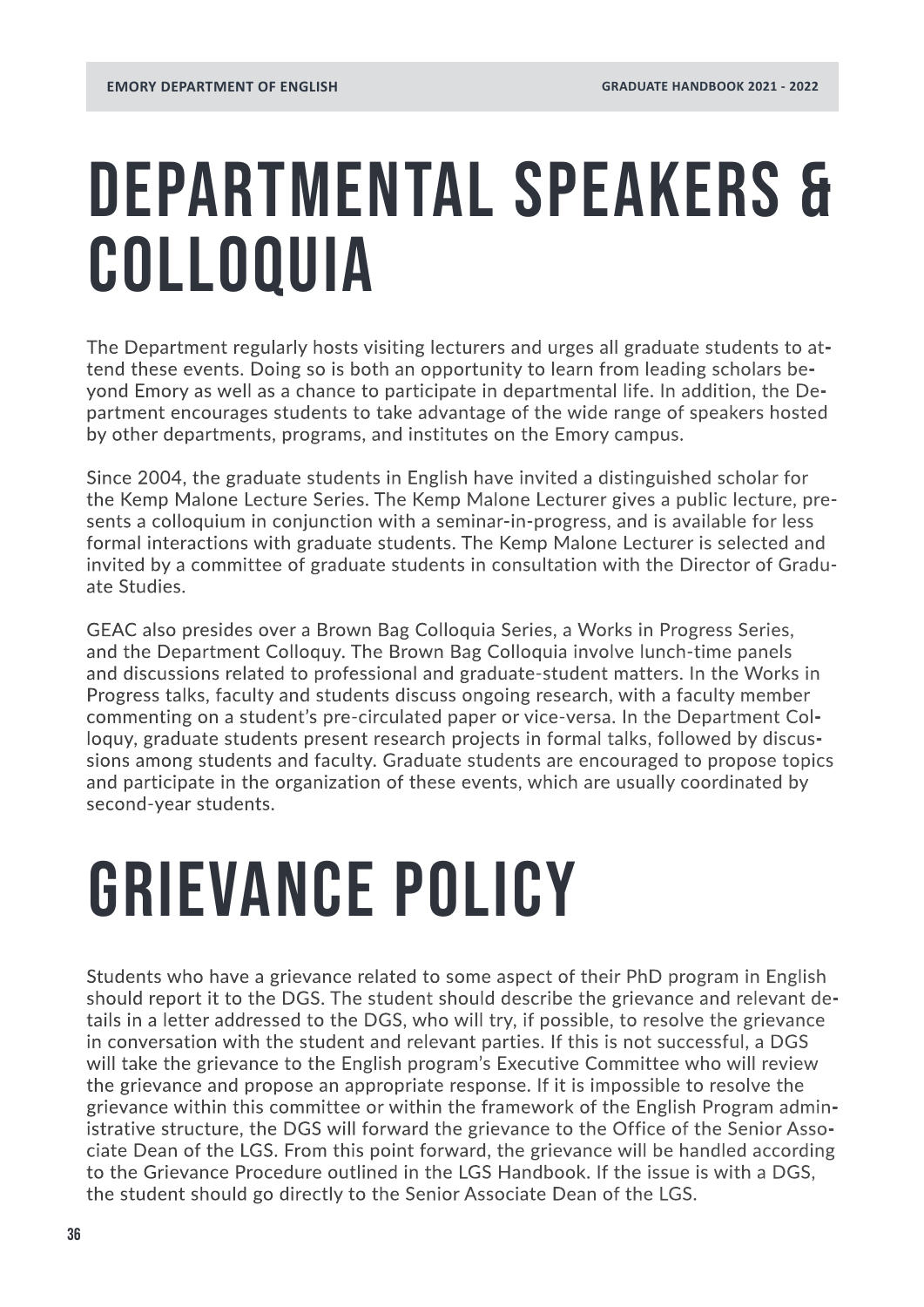## DEPARTMENTAL SPEAKERS & COLLOQUIA

The Department regularly hosts visiting lecturers and urges all graduate students to attend these events. Doing so is both an opportunity to learn from leading scholars beyond Emory as well as a chance to participate in departmental life. In addition, the Department encourages students to take advantage of the wide range of speakers hosted by other departments, programs, and institutes on the Emory campus.

Since 2004, the graduate students in English have invited a distinguished scholar for the Kemp Malone Lecture Series. The Kemp Malone Lecturer gives a public lecture, presents a colloquium in conjunction with a seminar-in-progress, and is available for less formal interactions with graduate students. The Kemp Malone Lecturer is selected and invited by a committee of graduate students in consultation with the Director of Graduate Studies.

GEAC also presides over a Brown Bag Colloquia Series, a Works in Progress Series, and the Department Colloquy. The Brown Bag Colloquia involve lunch-time panels and discussions related to professional and graduate-student matters. In the Works in Progress talks, faculty and students discuss ongoing research, with a faculty member commenting on a student's pre-circulated paper or vice-versa. In the Department Colloquy, graduate students present research projects in formal talks, followed by discussions among students and faculty. Graduate students are encouraged to propose topics and participate in the organization of these events, which are usually coordinated by second-year students.

## GRIEVANCE POLICY

Students who have a grievance related to some aspect of their PhD program in English should report it to the DGS. The student should describe the grievance and relevant details in a letter addressed to the DGS, who will try, if possible, to resolve the grievance in conversation with the student and relevant parties. If this is not successful, a DGS will take the grievance to the English program's Executive Committee who will review the grievance and propose an appropriate response. If it is impossible to resolve the grievance within this committee or within the framework of the English Program administrative structure, the DGS will forward the grievance to the Office of the Senior Associate Dean of the LGS. From this point forward, the grievance will be handled according to the Grievance Procedure outlined in the LGS Handbook. If the issue is with a DGS, the student should go directly to the Senior Associate Dean of the LGS.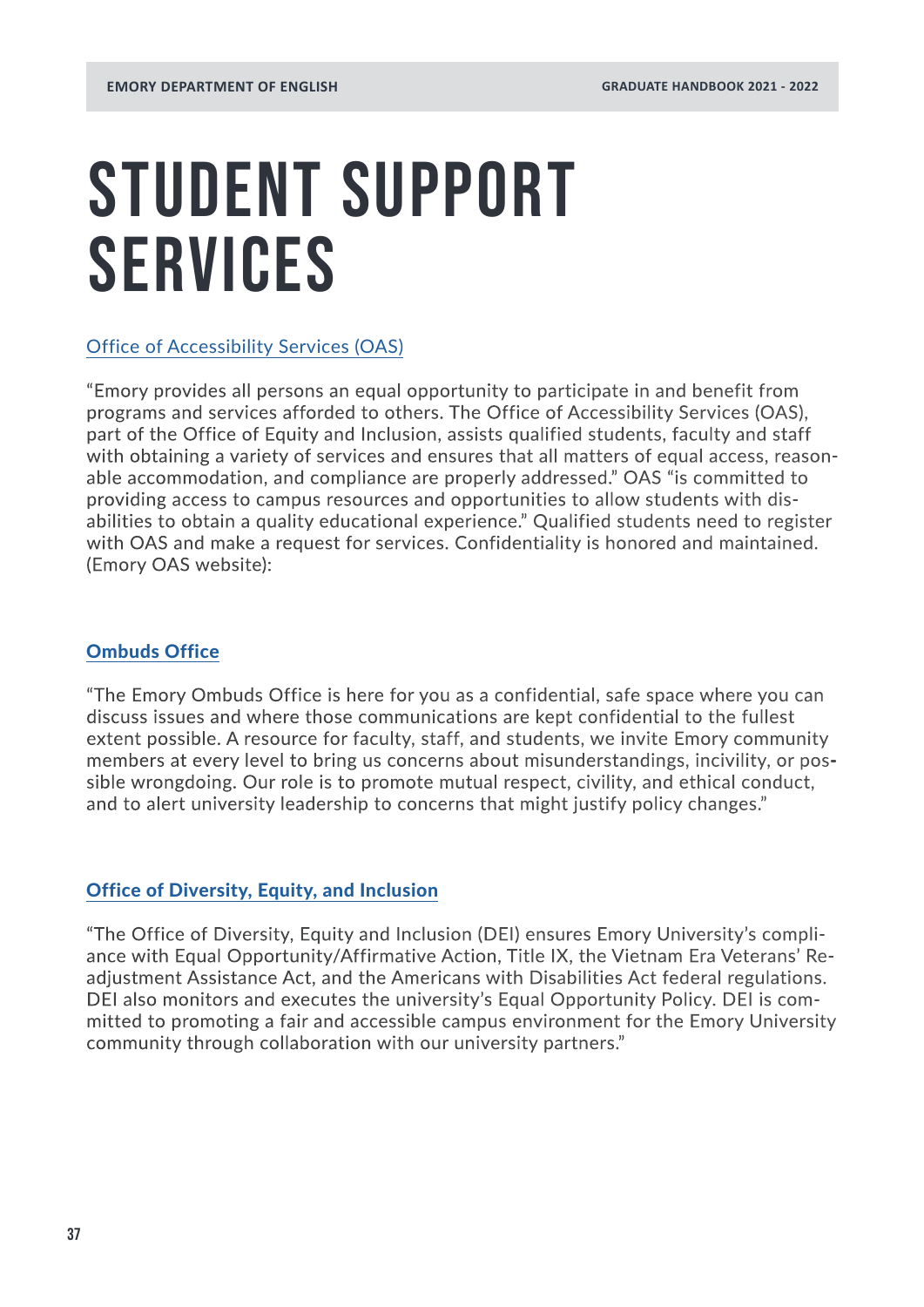## STUDENT SUPPORT SERVICES

#### [Office of Accessibility Services \(OAS\)](http://accessibility.emory.edu/students/index.html)

"Emory provides all persons an equal opportunity to participate in and benefit from programs and services afforded to others. The Office of Accessibility Services (OAS), part of the Office of Equity and Inclusion, assists qualified students, faculty and staff with obtaining a variety of services and ensures that all matters of equal access, reasonable accommodation, and compliance are properly addressed." OAS "is committed to providing access to campus resources and opportunities to allow students with disabilities to obtain a quality educational experience." Qualified students need to register with OAS and make a request for services. Confidentiality is honored and maintained. (Emory OAS website):

#### [Ombuds Office](https://ombuds.emory.edu/index.html)

"The Emory Ombuds Office is here for you as a confidential, safe space where you can discuss issues and where those communications are kept confidential to the fullest extent possible. A resource for faculty, staff, and students, we invite Emory community members at every level to bring us concerns about misunderstandings, incivility, or possible wrongdoing. Our role is to promote mutual respect, civility, and ethical conduct, and to alert university leadership to concerns that might justify policy changes."

#### [Office of Diversity, Equity, and Inclusion](http://www.equityandinclusion.emory.edu/
)

"The Office of Diversity, Equity and Inclusion (DEI) ensures Emory University's compliance with Equal Opportunity/Affirmative Action, Title IX, the Vietnam Era Veterans' Readjustment Assistance Act, and the Americans with Disabilities Act federal regulations. DEI also monitors and executes the university's Equal Opportunity Policy. DEI is committed to promoting a fair and accessible campus environment for the Emory University community through collaboration with our university partners."